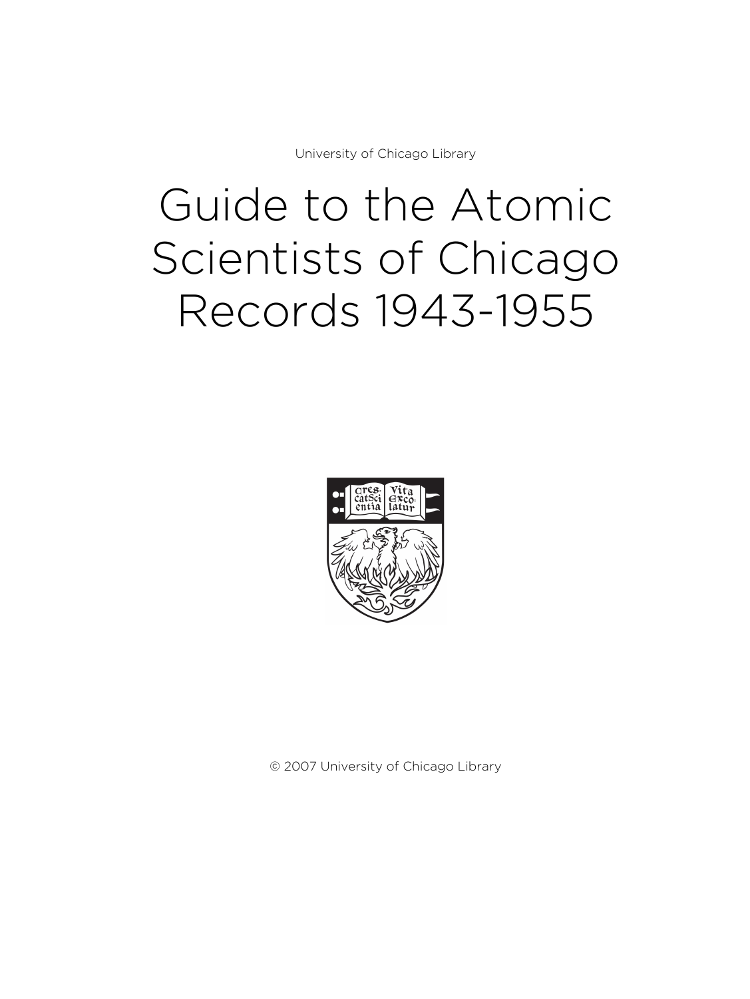University of Chicago Library

# Guide to the Atomic Scientists of Chicago Records 1943-1955



© 2007 University of Chicago Library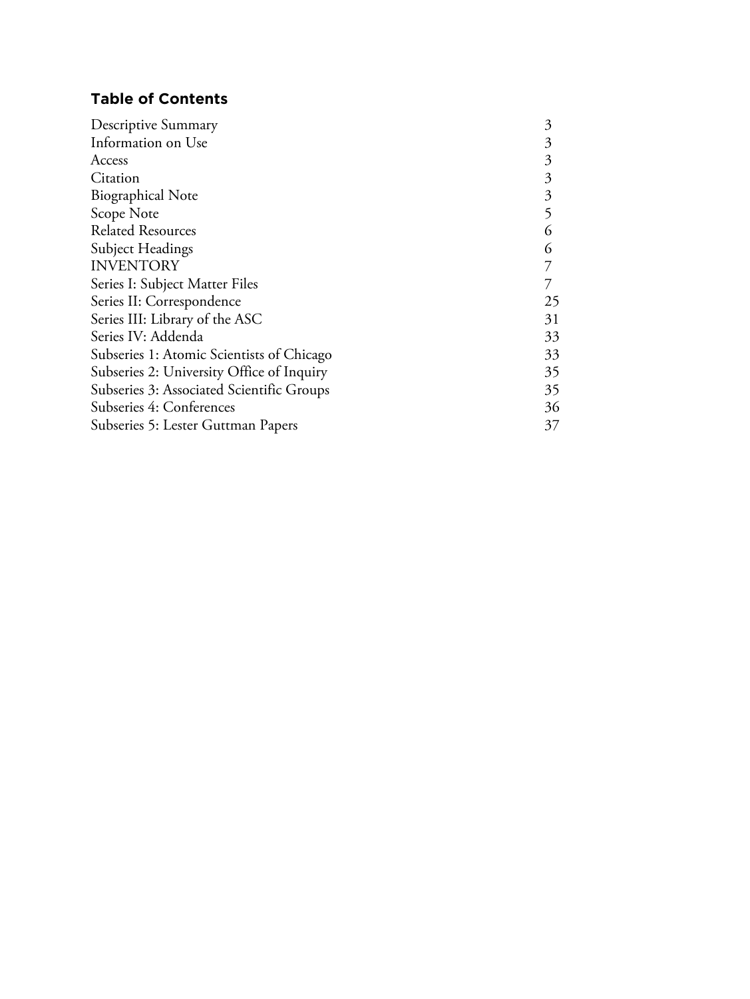# **Table of Contents**

| Descriptive Summary                       | 3  |
|-------------------------------------------|----|
| Information on Use                        | 3  |
| Access                                    | 3  |
| Citation                                  | 3  |
| <b>Biographical Note</b>                  | 3  |
| Scope Note                                | 5  |
| <b>Related Resources</b>                  | 6  |
| Subject Headings                          | 6  |
| <b>INVENTORY</b>                          |    |
| Series I: Subject Matter Files            |    |
| Series II: Correspondence                 | 25 |
| Series III: Library of the ASC            | 31 |
| Series IV: Addenda                        | 33 |
| Subseries 1: Atomic Scientists of Chicago | 33 |
| Subseries 2: University Office of Inquiry | 35 |
| Subseries 3: Associated Scientific Groups | 35 |
| Subseries 4: Conferences                  | 36 |
| Subseries 5: Lester Guttman Papers        | 37 |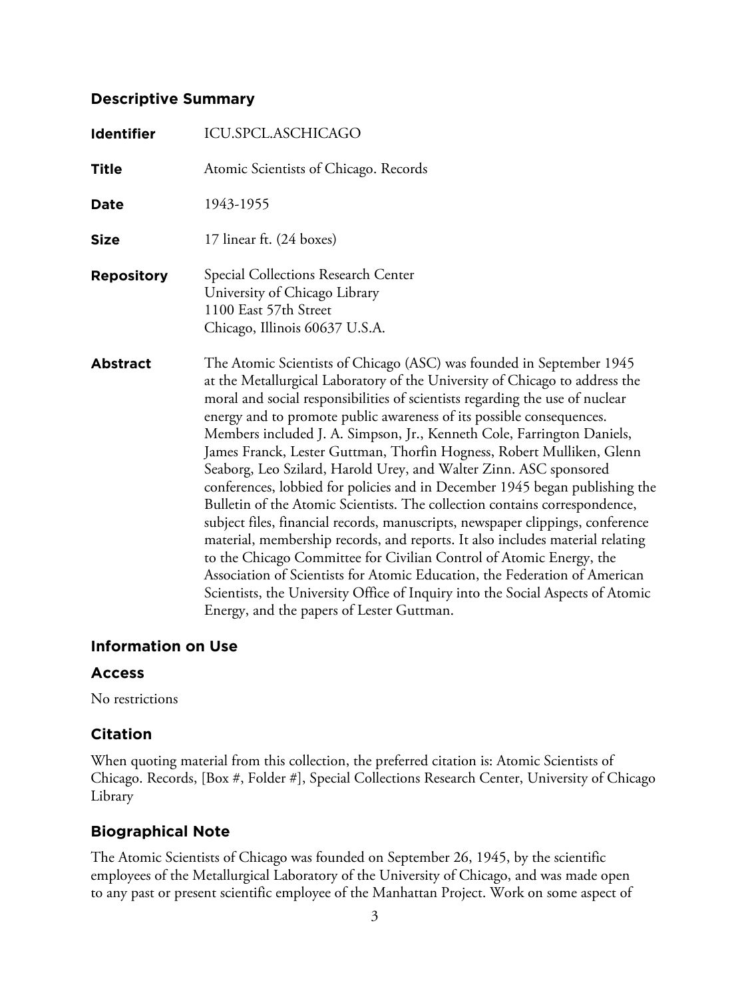# **Descriptive Summary**

| <b>Identifier</b> | ICU.SPCL.ASCHICAGO                                                                                                                                                                                                                                                                                                                                                                                                                                                                                                                                                                                                                                                                                                                                                                                                                                                                                                                                                                                                                                                                                                                                      |
|-------------------|---------------------------------------------------------------------------------------------------------------------------------------------------------------------------------------------------------------------------------------------------------------------------------------------------------------------------------------------------------------------------------------------------------------------------------------------------------------------------------------------------------------------------------------------------------------------------------------------------------------------------------------------------------------------------------------------------------------------------------------------------------------------------------------------------------------------------------------------------------------------------------------------------------------------------------------------------------------------------------------------------------------------------------------------------------------------------------------------------------------------------------------------------------|
| <b>Title</b>      | Atomic Scientists of Chicago. Records                                                                                                                                                                                                                                                                                                                                                                                                                                                                                                                                                                                                                                                                                                                                                                                                                                                                                                                                                                                                                                                                                                                   |
| Date              | 1943-1955                                                                                                                                                                                                                                                                                                                                                                                                                                                                                                                                                                                                                                                                                                                                                                                                                                                                                                                                                                                                                                                                                                                                               |
| <b>Size</b>       | 17 linear ft. (24 boxes)                                                                                                                                                                                                                                                                                                                                                                                                                                                                                                                                                                                                                                                                                                                                                                                                                                                                                                                                                                                                                                                                                                                                |
| <b>Repository</b> | <b>Special Collections Research Center</b><br>University of Chicago Library<br>1100 East 57th Street<br>Chicago, Illinois 60637 U.S.A.                                                                                                                                                                                                                                                                                                                                                                                                                                                                                                                                                                                                                                                                                                                                                                                                                                                                                                                                                                                                                  |
| <b>Abstract</b>   | The Atomic Scientists of Chicago (ASC) was founded in September 1945<br>at the Metallurgical Laboratory of the University of Chicago to address the<br>moral and social responsibilities of scientists regarding the use of nuclear<br>energy and to promote public awareness of its possible consequences.<br>Members included J. A. Simpson, Jr., Kenneth Cole, Farrington Daniels,<br>James Franck, Lester Guttman, Thorfin Hogness, Robert Mulliken, Glenn<br>Seaborg, Leo Szilard, Harold Urey, and Walter Zinn. ASC sponsored<br>conferences, lobbied for policies and in December 1945 began publishing the<br>Bulletin of the Atomic Scientists. The collection contains correspondence,<br>subject files, financial records, manuscripts, newspaper clippings, conference<br>material, membership records, and reports. It also includes material relating<br>to the Chicago Committee for Civilian Control of Atomic Energy, the<br>Association of Scientists for Atomic Education, the Federation of American<br>Scientists, the University Office of Inquiry into the Social Aspects of Atomic<br>Energy, and the papers of Lester Guttman. |

# **Information on Use**

# **Access**

No restrictions

# **Citation**

When quoting material from this collection, the preferred citation is: Atomic Scientists of Chicago. Records, [Box #, Folder #], Special Collections Research Center, University of Chicago Library

# **Biographical Note**

The Atomic Scientists of Chicago was founded on September 26, 1945, by the scientific employees of the Metallurgical Laboratory of the University of Chicago, and was made open to any past or present scientific employee of the Manhattan Project. Work on some aspect of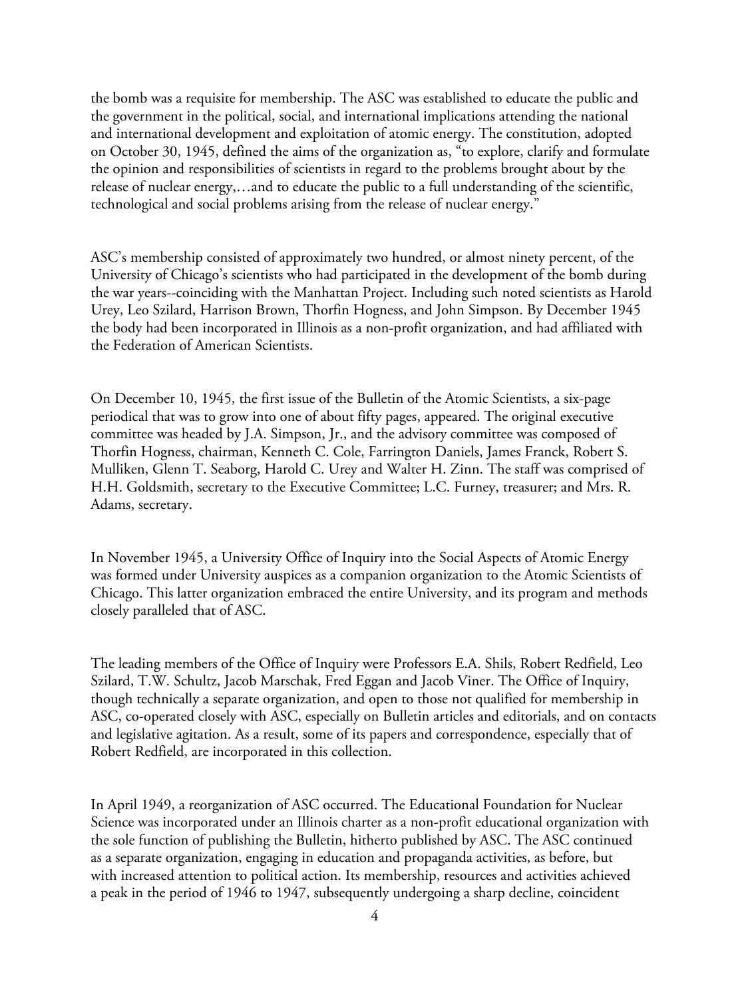the bomb was a requisite for membership. The ASC was established to educate the public and the government in the political, social, and international implications attending the national and international development and exploitation of atomic energy. The constitution, adopted on October 30, 1945, defined the aims of the organization as, "to explore, clarify and formulate the opinion and responsibilities of scientists in regard to the problems brought about by the release of nuclear energy,…and to educate the public to a full understanding of the scientific, technological and social problems arising from the release of nuclear energy."

ASC's membership consisted of approximately two hundred, or almost ninety percent, of the University of Chicago's scientists who had participated in the development of the bomb during the war years--coinciding with the Manhattan Project. Including such noted scientists as Harold Urey, Leo Szilard, Harrison Brown, Thorfin Hogness, and John Simpson. By December 1945 the body had been incorporated in Illinois as a non-profit organization, and had affiliated with the Federation of American Scientists.

On December 10, 1945, the first issue of the Bulletin of the Atomic Scientists, a six-page periodical that was to grow into one of about fifty pages, appeared. The original executive committee was headed by J.A. Simpson, Jr., and the advisory committee was composed of Thorfin Hogness, chairman, Kenneth C. Cole, Farrington Daniels, James Franck, Robert S. Mulliken, Glenn T. Seaborg, Harold C. Urey and Walter H. Zinn. The staff was comprised of H.H. Goldsmith, secretary to the Executive Committee; L.C. Furney, treasurer; and Mrs. R. Adams, secretary.

In November 1945, a University Office of Inquiry into the Social Aspects of Atomic Energy was formed under University auspices as a companion organization to the Atomic Scientists of Chicago. This latter organization embraced the entire University, and its program and methods closely paralleled that of ASC.

The leading members of the Office of Inquiry were Professors E.A. Shils, Robert Redfield, Leo Szilard, T.W. Schultz, Jacob Marschak, Fred Eggan and Jacob Viner. The Office of Inquiry, though technically a separate organization, and open to those not qualified for membership in ASC, co-operated closely with ASC, especially on Bulletin articles and editorials, and on contacts and legislative agitation. As a result, some of its papers and correspondence, especially that of Robert Redfield, are incorporated in this collection.

In April 1949, a reorganization of ASC occurred. The Educational Foundation for Nuclear Science was incorporated under an Illinois charter as a non-profit educational organization with the sole function of publishing the Bulletin, hitherto published by ASC. The ASC continued as a separate organization, engaging in education and propaganda activities, as before, but with increased attention to political action. Its membership, resources and activities achieved a peak in the period of 1946 to 1947, subsequently undergoing a sharp decline, coincident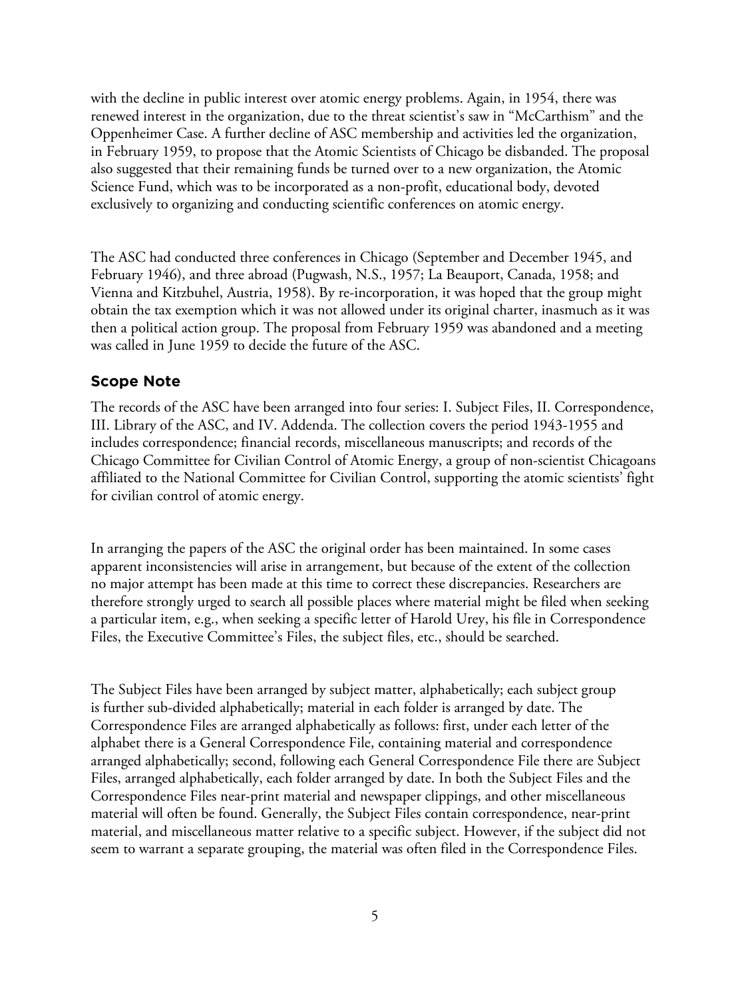with the decline in public interest over atomic energy problems. Again, in 1954, there was renewed interest in the organization, due to the threat scientist's saw in "McCarthism" and the Oppenheimer Case. A further decline of ASC membership and activities led the organization, in February 1959, to propose that the Atomic Scientists of Chicago be disbanded. The proposal also suggested that their remaining funds be turned over to a new organization, the Atomic Science Fund, which was to be incorporated as a non-profit, educational body, devoted exclusively to organizing and conducting scientific conferences on atomic energy.

The ASC had conducted three conferences in Chicago (September and December 1945, and February 1946), and three abroad (Pugwash, N.S., 1957; La Beauport, Canada, 1958; and Vienna and Kitzbuhel, Austria, 1958). By re-incorporation, it was hoped that the group might obtain the tax exemption which it was not allowed under its original charter, inasmuch as it was then a political action group. The proposal from February 1959 was abandoned and a meeting was called in June 1959 to decide the future of the ASC.

### **Scope Note**

The records of the ASC have been arranged into four series: I. Subject Files, II. Correspondence, III. Library of the ASC, and IV. Addenda. The collection covers the period 1943-1955 and includes correspondence; financial records, miscellaneous manuscripts; and records of the Chicago Committee for Civilian Control of Atomic Energy, a group of non-scientist Chicagoans affiliated to the National Committee for Civilian Control, supporting the atomic scientists' fight for civilian control of atomic energy.

In arranging the papers of the ASC the original order has been maintained. In some cases apparent inconsistencies will arise in arrangement, but because of the extent of the collection no major attempt has been made at this time to correct these discrepancies. Researchers are therefore strongly urged to search all possible places where material might be filed when seeking a particular item, e.g., when seeking a specific letter of Harold Urey, his file in Correspondence Files, the Executive Committee's Files, the subject files, etc., should be searched.

The Subject Files have been arranged by subject matter, alphabetically; each subject group is further sub-divided alphabetically; material in each folder is arranged by date. The Correspondence Files are arranged alphabetically as follows: first, under each letter of the alphabet there is a General Correspondence File, containing material and correspondence arranged alphabetically; second, following each General Correspondence File there are Subject Files, arranged alphabetically, each folder arranged by date. In both the Subject Files and the Correspondence Files near-print material and newspaper clippings, and other miscellaneous material will often be found. Generally, the Subject Files contain correspondence, near-print material, and miscellaneous matter relative to a specific subject. However, if the subject did not seem to warrant a separate grouping, the material was often filed in the Correspondence Files.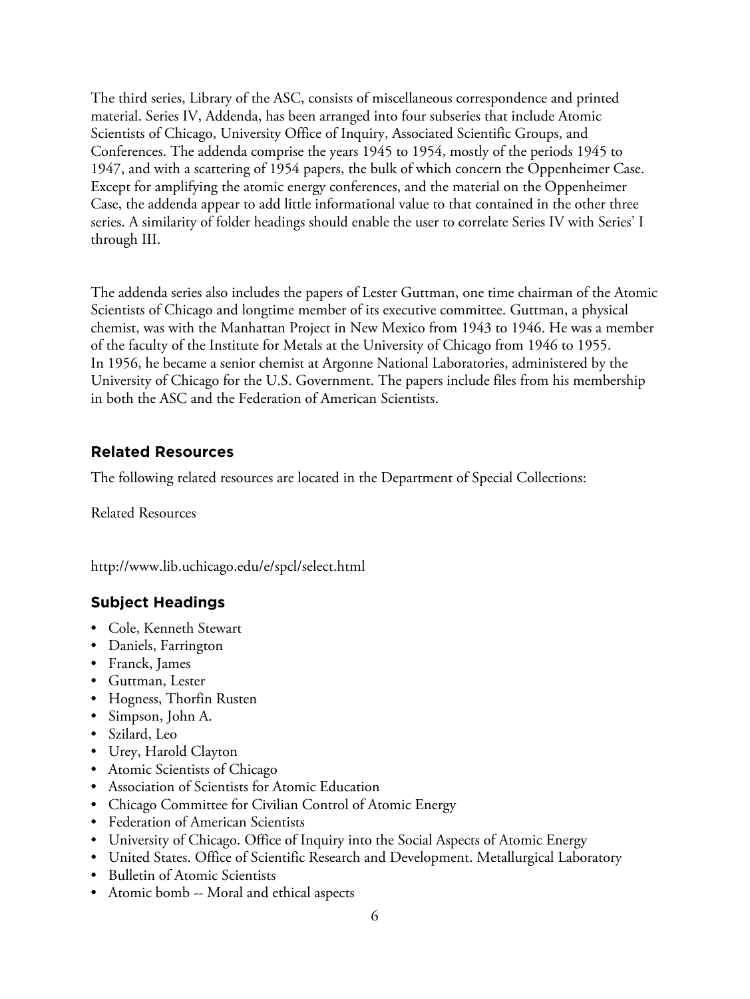The third series, Library of the ASC, consists of miscellaneous correspondence and printed material. Series IV, Addenda, has been arranged into four subseries that include Atomic Scientists of Chicago, University Office of Inquiry, Associated Scientific Groups, and Conferences. The addenda comprise the years 1945 to 1954, mostly of the periods 1945 to 1947, and with a scattering of 1954 papers, the bulk of which concern the Oppenheimer Case. Except for amplifying the atomic energy conferences, and the material on the Oppenheimer Case, the addenda appear to add little informational value to that contained in the other three series. A similarity of folder headings should enable the user to correlate Series IV with Series' I through III.

The addenda series also includes the papers of Lester Guttman, one time chairman of the Atomic Scientists of Chicago and longtime member of its executive committee. Guttman, a physical chemist, was with the Manhattan Project in New Mexico from 1943 to 1946. He was a member of the faculty of the Institute for Metals at the University of Chicago from 1946 to 1955. In 1956, he became a senior chemist at Argonne National Laboratories, administered by the University of Chicago for the U.S. Government. The papers include files from his membership in both the ASC and the Federation of American Scientists.

# **Related Resources**

The following related resources are located in the Department of Special Collections:

Related Resources

http://www.lib.uchicago.edu/e/spcl/select.html

# **Subject Headings**

- Cole, Kenneth Stewart
- Daniels, Farrington
- Franck, James
- Guttman, Lester
- Hogness, Thorfin Rusten
- Simpson, John A.
- Szilard, Leo
- Urey, Harold Clayton
- Atomic Scientists of Chicago
- Association of Scientists for Atomic Education
- Chicago Committee for Civilian Control of Atomic Energy
- Federation of American Scientists
- University of Chicago. Office of Inquiry into the Social Aspects of Atomic Energy
- United States. Office of Scientific Research and Development. Metallurgical Laboratory
- Bulletin of Atomic Scientists
- Atomic bomb -- Moral and ethical aspects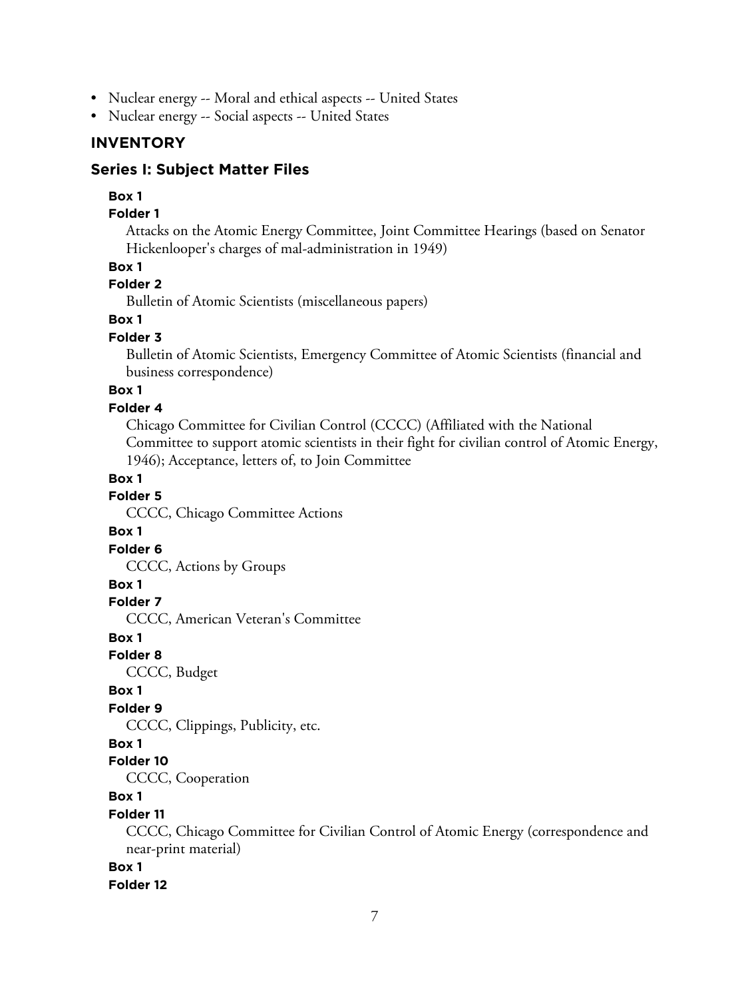- Nuclear energy -- Moral and ethical aspects -- United States
- Nuclear energy -- Social aspects -- United States

### **INVENTORY**

### **Series I: Subject Matter Files**

### **Box 1**

#### **Folder 1**

Attacks on the Atomic Energy Committee, Joint Committee Hearings (based on Senator Hickenlooper's charges of mal-administration in 1949)

### **Box 1**

# **Folder 2**

Bulletin of Atomic Scientists (miscellaneous papers)

# **Box 1**

#### **Folder 3**

Bulletin of Atomic Scientists, Emergency Committee of Atomic Scientists (financial and business correspondence)

# **Box 1**

### **Folder 4**

Chicago Committee for Civilian Control (CCCC) (Affiliated with the National Committee to support atomic scientists in their fight for civilian control of Atomic Energy, 1946); Acceptance, letters of, to Join Committee

**Box 1**

#### **Folder 5**

CCCC, Chicago Committee Actions

#### **Box 1**

#### **Folder 6**

CCCC, Actions by Groups

#### **Box 1**

**Folder 7**

CCCC, American Veteran's Committee

# **Box 1**

**Folder 8**

CCCC, Budget

### **Box 1**

### **Folder 9**

CCCC, Clippings, Publicity, etc.

# **Box 1**

# **Folder 10**

CCCC, Cooperation

### **Box 1**

#### **Folder 11**

CCCC, Chicago Committee for Civilian Control of Atomic Energy (correspondence and near-print material)

# **Box 1**

**Folder 12**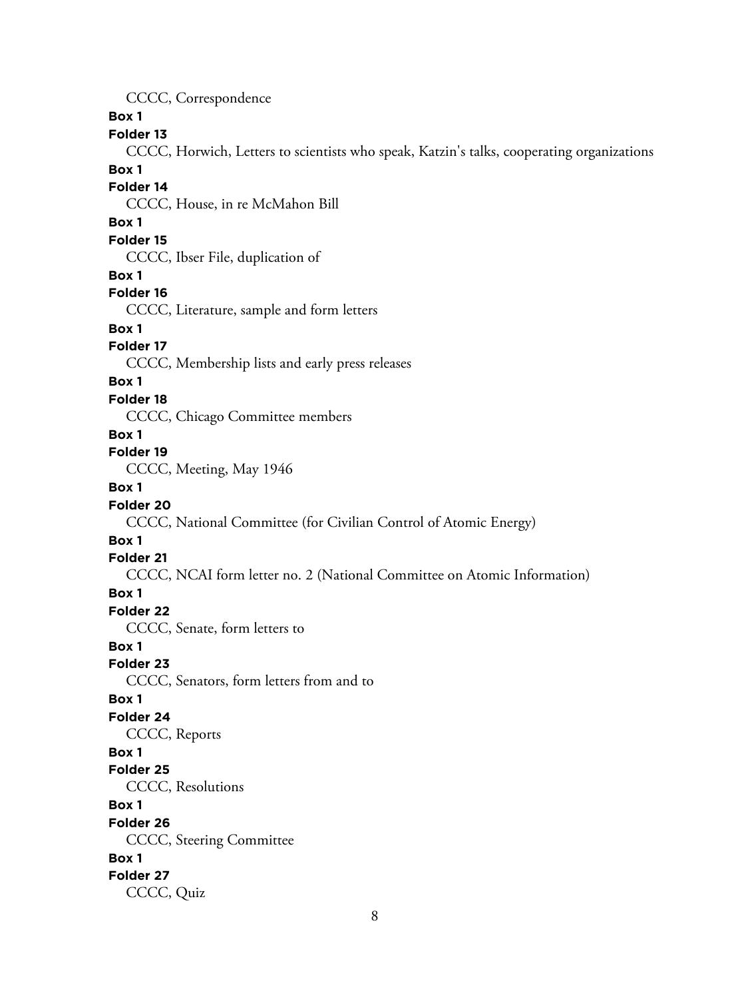CCCC, Correspondence

**Box 1**

### **Folder 13**

CCCC, Horwich, Letters to scientists who speak, Katzin's talks, cooperating organizations

#### **Box 1**

#### **Folder 14**

CCCC, House, in re McMahon Bill

### **Box 1**

#### **Folder 15**

CCCC, Ibser File, duplication of

#### **Box 1**

#### **Folder 16**

CCCC, Literature, sample and form letters

# **Box 1**

### **Folder 17**

CCCC, Membership lists and early press releases

### **Box 1**

### **Folder 18**

CCCC, Chicago Committee members

#### **Box 1**

### **Folder 19**

CCCC, Meeting, May 1946

# **Box 1**

### **Folder 20**

CCCC, National Committee (for Civilian Control of Atomic Energy)

### **Box 1**

#### **Folder 21**

CCCC, NCAI form letter no. 2 (National Committee on Atomic Information)

### **Box 1**

### **Folder 22**

CCCC, Senate, form letters to

### **Box 1**

**Folder 23**

CCCC, Senators, form letters from and to

# **Box 1**

# **Folder 24**

CCCC, Reports

# **Box 1**

# **Folder 25**

CCCC, Resolutions

#### **Box 1**

**Folder 26**

CCCC, Steering Committee

### **Box 1**

### **Folder 27**

CCCC, Quiz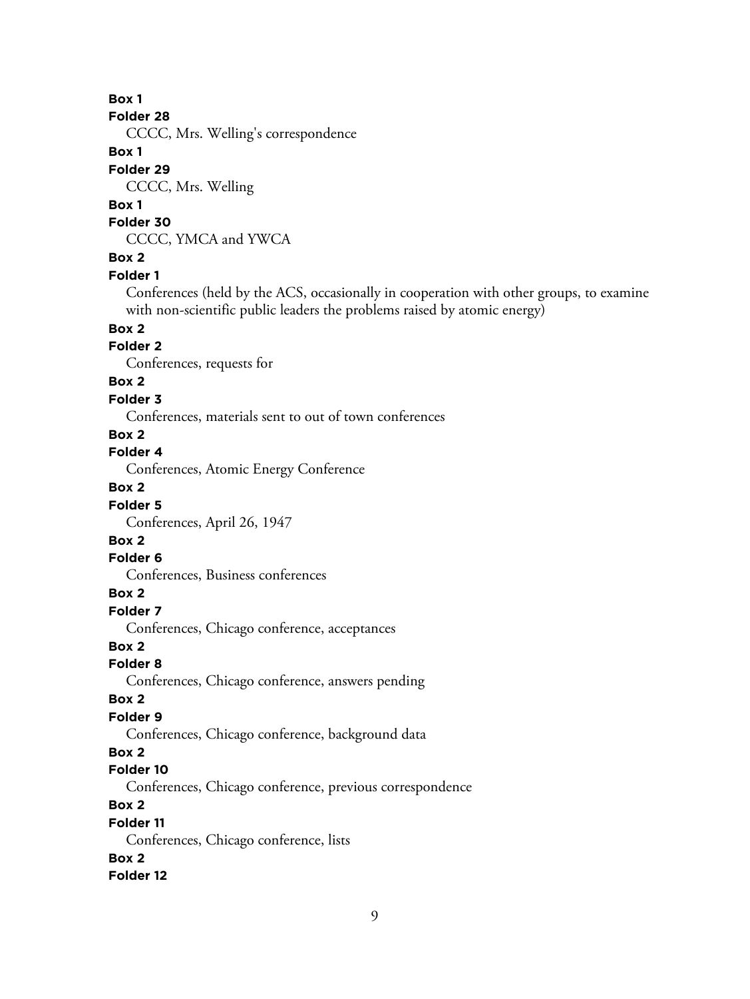#### **Folder 28**

CCCC, Mrs. Welling's correspondence

### **Box 1**

# **Folder 29**

CCCC, Mrs. Welling

# **Box 1**

**Folder 30**

CCCC, YMCA and YWCA

# **Box 2**

#### **Folder 1**

Conferences (held by the ACS, occasionally in cooperation with other groups, to examine with non-scientific public leaders the problems raised by atomic energy)

# **Box 2**

# **Folder 2**

Conferences, requests for

# **Box 2**

### **Folder 3**

Conferences, materials sent to out of town conferences

# **Box 2**

# **Folder 4**

Conferences, Atomic Energy Conference

# **Box 2**

# **Folder 5**

Conferences, April 26, 1947

# **Box 2**

# **Folder 6**

Conferences, Business conferences

# **Box 2**

**Folder 7**

Conferences, Chicago conference, acceptances

# **Box 2**

#### **Folder 8**

Conferences, Chicago conference, answers pending

### **Box 2**

# **Folder 9**

Conferences, Chicago conference, background data

# **Box 2**

# **Folder 10**

Conferences, Chicago conference, previous correspondence

# **Box 2**

### **Folder 11**

Conferences, Chicago conference, lists

### **Box 2**

# **Folder 12**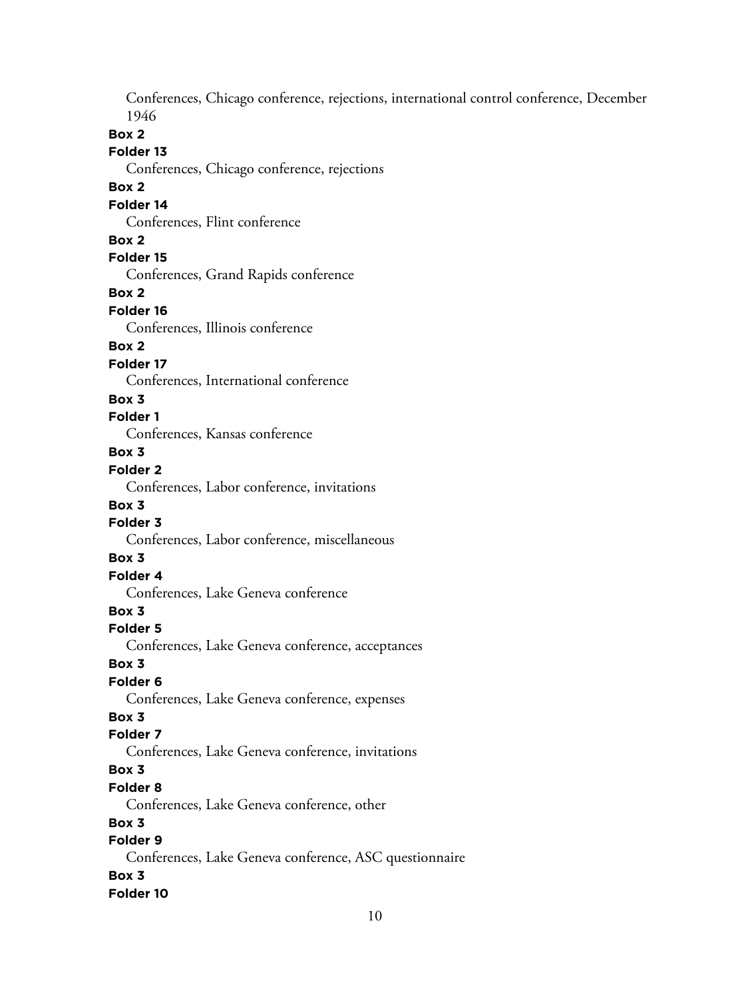Conferences, Chicago conference, rejections, international control conference, December 1946

# **Box 2**

### **Folder 13**

Conferences, Chicago conference, rejections

### **Box 2**

### **Folder 14**

Conferences, Flint conference

#### **Box 2**

**Folder 15**

Conferences, Grand Rapids conference

**Box 2**

#### **Folder 16**

Conferences, Illinois conference

# **Box 2**

### **Folder 17**

Conferences, International conference

### **Box 3**

### **Folder 1**

Conferences, Kansas conference

# **Box 3**

# **Folder 2**

Conferences, Labor conference, invitations

#### **Box 3**

# **Folder 3**

Conferences, Labor conference, miscellaneous

### **Box 3**

# **Folder 4**

Conferences, Lake Geneva conference

# **Box 3**

### **Folder 5**

Conferences, Lake Geneva conference, acceptances

#### **Box 3**

# **Folder 6**

Conferences, Lake Geneva conference, expenses

# **Box 3**

# **Folder 7**

Conferences, Lake Geneva conference, invitations

# **Box 3**

# **Folder 8**

Conferences, Lake Geneva conference, other

### **Box 3**

# **Folder 9**

Conferences, Lake Geneva conference, ASC questionnaire

# **Box 3**

#### **Folder 10**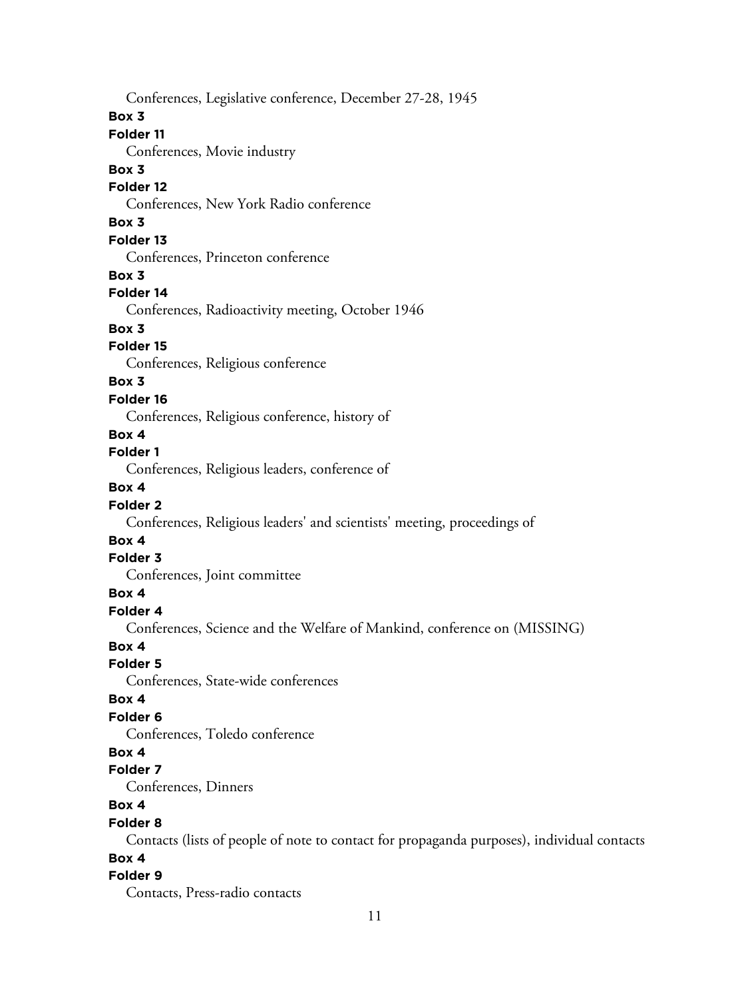Conferences, Legislative conference, December 27-28, 1945

#### **Box 3**

# **Folder 11**

Conferences, Movie industry

### **Box 3**

### **Folder 12**

Conferences, New York Radio conference

# **Box 3**

# **Folder 13**

Conferences, Princeton conference

### **Box 3**

### **Folder 14**

Conferences, Radioactivity meeting, October 1946

### **Box 3**

# **Folder 15**

Conferences, Religious conference

# **Box 3**

### **Folder 16**

Conferences, Religious conference, history of

### **Box 4**

### **Folder 1**

Conferences, Religious leaders, conference of

# **Box 4**

# **Folder 2**

Conferences, Religious leaders' and scientists' meeting, proceedings of

### **Box 4**

### **Folder 3**

Conferences, Joint committee

# **Box 4**

# **Folder 4**

Conferences, Science and the Welfare of Mankind, conference on (MISSING)

# **Box 4**

### **Folder 5**

Conferences, State-wide conferences

### **Box 4**

# **Folder 6**

Conferences, Toledo conference

# **Box 4**

### **Folder 7**

Conferences, Dinners

# **Box 4**

### **Folder 8**

Contacts (lists of people of note to contact for propaganda purposes), individual contacts

# **Box 4**

# **Folder 9**

Contacts, Press-radio contacts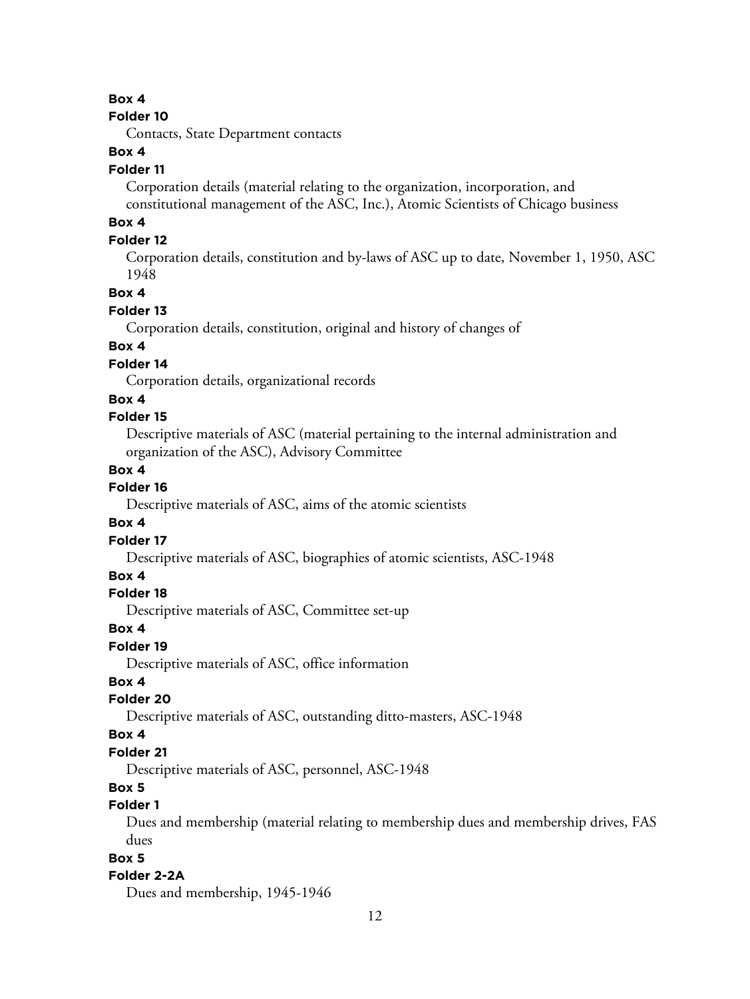#### **Folder 10**

Contacts, State Department contacts

# **Box 4**

#### **Folder 11**

Corporation details (material relating to the organization, incorporation, and constitutional management of the ASC, Inc.), Atomic Scientists of Chicago business

# **Box 4**

# **Folder 12**

Corporation details, constitution and by-laws of ASC up to date, November 1, 1950, ASC 1948

#### **Box 4**

#### **Folder 13**

Corporation details, constitution, original and history of changes of

# **Box 4**

# **Folder 14**

Corporation details, organizational records

### **Box 4**

### **Folder 15**

Descriptive materials of ASC (material pertaining to the internal administration and organization of the ASC), Advisory Committee

#### **Box 4**

### **Folder 16**

Descriptive materials of ASC, aims of the atomic scientists

### **Box 4**

### **Folder 17**

Descriptive materials of ASC, biographies of atomic scientists, ASC-1948

### **Box 4**

#### **Folder 18**

Descriptive materials of ASC, Committee set-up

#### **Box 4**

#### **Folder 19**

Descriptive materials of ASC, office information

# **Box 4**

### **Folder 20**

Descriptive materials of ASC, outstanding ditto-masters, ASC-1948

### **Box 4**

### **Folder 21**

Descriptive materials of ASC, personnel, ASC-1948

### **Box 5**

# **Folder 1**

Dues and membership (material relating to membership dues and membership drives, FAS dues

# **Box 5**

### **Folder 2-2A**

Dues and membership, 1945-1946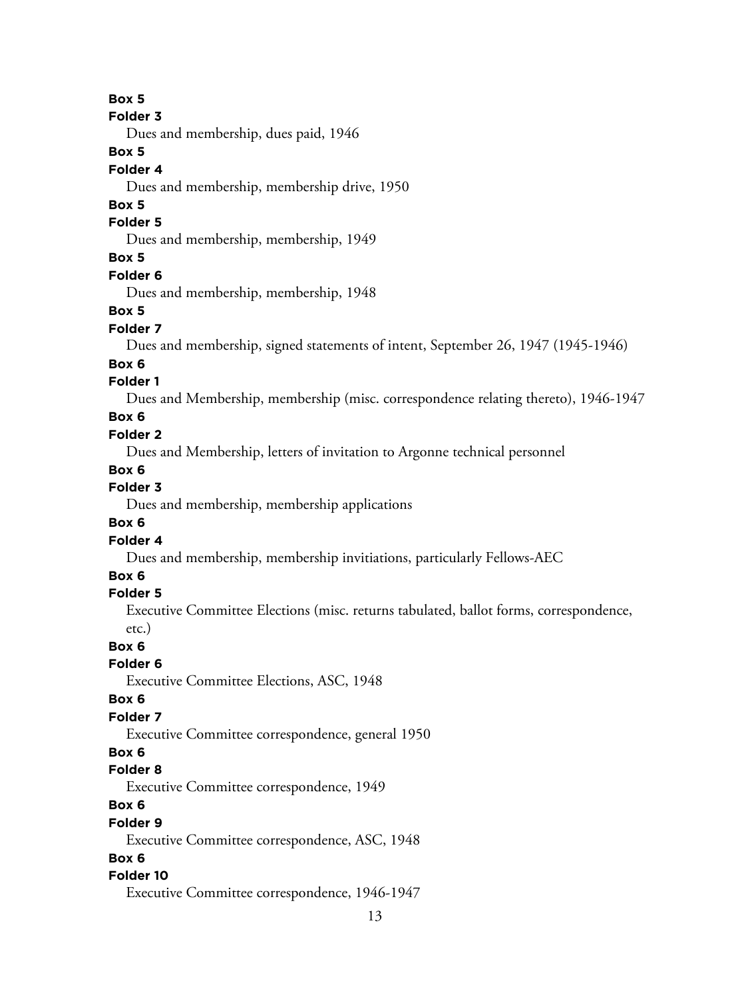```
Folder 3
```
Dues and membership, dues paid, 1946

# **Box 5**

### **Folder 4**

Dues and membership, membership drive, 1950

# **Box 5**

# **Folder 5**

Dues and membership, membership, 1949

# **Box 5**

# **Folder 6**

Dues and membership, membership, 1948

### **Box 5**

### **Folder 7**

Dues and membership, signed statements of intent, September 26, 1947 (1945-1946)

### **Box 6**

# **Folder 1**

Dues and Membership, membership (misc. correspondence relating thereto), 1946-1947

### **Box 6**

### **Folder 2**

Dues and Membership, letters of invitation to Argonne technical personnel

# **Box 6**

# **Folder 3**

Dues and membership, membership applications

### **Box 6**

#### **Folder 4**

Dues and membership, membership invitiations, particularly Fellows-AEC

# **Box 6**

# **Folder 5**

Executive Committee Elections (misc. returns tabulated, ballot forms, correspondence, etc.)

**Box 6**

### **Folder 6**

Executive Committee Elections, ASC, 1948

### **Box 6**

# **Folder 7**

Executive Committee correspondence, general 1950

# **Box 6**

# **Folder 8**

Executive Committee correspondence, 1949

# **Box 6**

#### **Folder 9**

Executive Committee correspondence, ASC, 1948

# **Box 6**

### **Folder 10**

Executive Committee correspondence, 1946-1947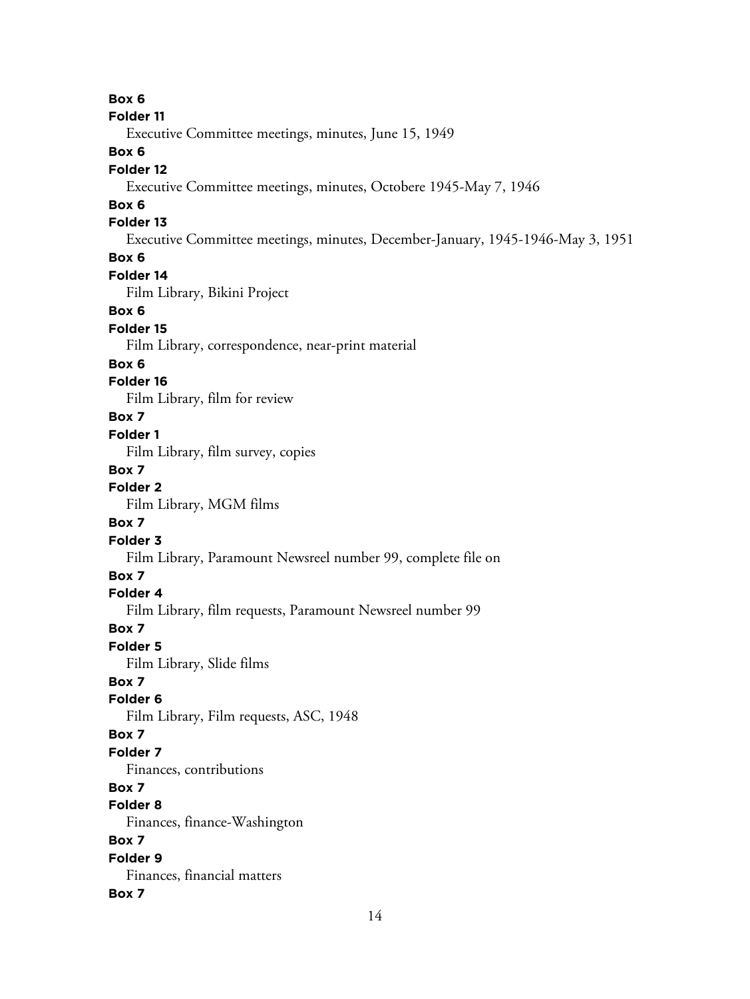#### **Folder 11**

Executive Committee meetings, minutes, June 15, 1949

# **Box 6**

### **Folder 12**

Executive Committee meetings, minutes, Octobere 1945-May 7, 1946

# **Box 6**

# **Folder 13**

Executive Committee meetings, minutes, December-January, 1945-1946-May 3, 1951

# **Box 6**

# **Folder 14**

Film Library, Bikini Project

#### **Box 6**

#### **Folder 15**

Film Library, correspondence, near-print material

#### **Box 6**

### **Folder 16**

Film Library, film for review

# **Box 7**

### **Folder 1**

Film Library, film survey, copies

### **Box 7**

# **Folder 2**

Film Library, MGM films

# **Box 7**

### **Folder 3**

Film Library, Paramount Newsreel number 99, complete file on

# **Box 7**

# **Folder 4**

Film Library, film requests, Paramount Newsreel number 99

#### **Box 7**

#### **Folder 5**

Film Library, Slide films

### **Box 7**

# **Folder 6**

Film Library, Film requests, ASC, 1948

### **Box 7**

### **Folder 7**

Finances, contributions

# **Box 7**

# **Folder 8**

Finances, finance-Washington

# **Box 7**

#### **Folder 9** Finances, financial matters

#### **Box 7**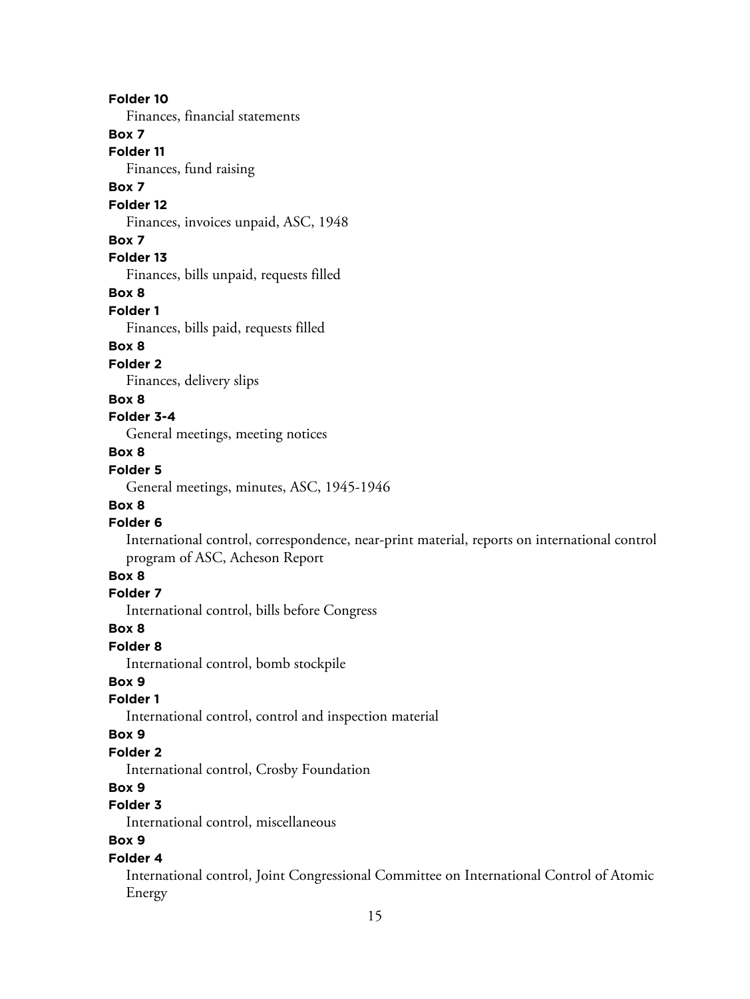#### **Folder 10**

Finances, financial statements

# **Box 7**

**Folder 11**

Finances, fund raising

# **Box 7**

#### **Folder 12**

Finances, invoices unpaid, ASC, 1948

### **Box 7**

# **Folder 13**

Finances, bills unpaid, requests filled

#### **Box 8**

**Folder 1**

Finances, bills paid, requests filled

# **Box 8**

# **Folder 2**

Finances, delivery slips

### **Box 8**

# **Folder 3-4**

General meetings, meeting notices

# **Box 8**

# **Folder 5**

General meetings, minutes, ASC, 1945-1946

#### **Box 8**

#### **Folder 6**

International control, correspondence, near-print material, reports on international control program of ASC, Acheson Report

# **Box 8**

### **Folder 7**

International control, bills before Congress

### **Box 8**

### **Folder 8**

International control, bomb stockpile

# **Box 9**

# **Folder 1**

International control, control and inspection material

### **Box 9**

# **Folder 2**

International control, Crosby Foundation

# **Box 9**

# **Folder 3**

International control, miscellaneous

# **Box 9**

### **Folder 4**

International control, Joint Congressional Committee on International Control of Atomic Energy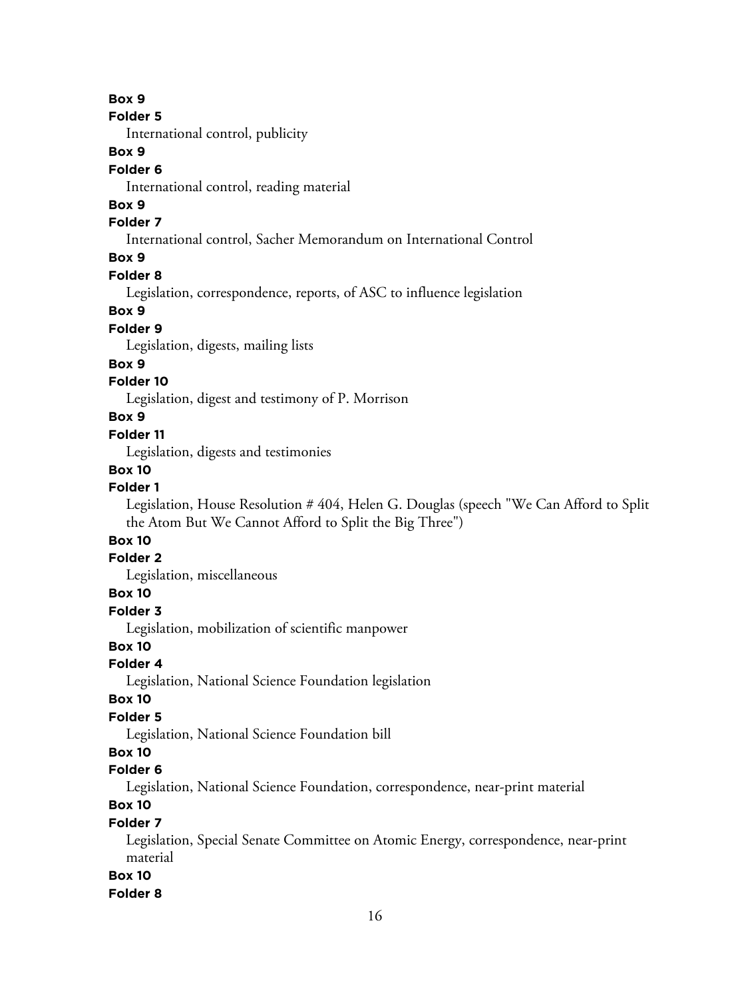**Folder 5**

International control, publicity

# **Box 9**

### **Folder 6**

International control, reading material

# **Box 9**

### **Folder 7**

International control, Sacher Memorandum on International Control

# **Box 9**

# **Folder 8**

Legislation, correspondence, reports, of ASC to influence legislation

#### **Box 9**

### **Folder 9**

Legislation, digests, mailing lists

### **Box 9**

# **Folder 10**

Legislation, digest and testimony of P. Morrison

### **Box 9**

#### **Folder 11**

Legislation, digests and testimonies

### **Box 10**

#### **Folder 1**

Legislation, House Resolution # 404, Helen G. Douglas (speech "We Can Afford to Split the Atom But We Cannot Afford to Split the Big Three")

# **Box 10**

# **Folder 2**

Legislation, miscellaneous

### **Box 10**

# **Folder 3**

Legislation, mobilization of scientific manpower

# **Box 10**

# **Folder 4**

Legislation, National Science Foundation legislation

### **Box 10**

# **Folder 5**

Legislation, National Science Foundation bill

# **Box 10**

#### **Folder 6**

Legislation, National Science Foundation, correspondence, near-print material

# **Box 10**

### **Folder 7**

Legislation, Special Senate Committee on Atomic Energy, correspondence, near-print material

### **Box 10**

#### **Folder 8**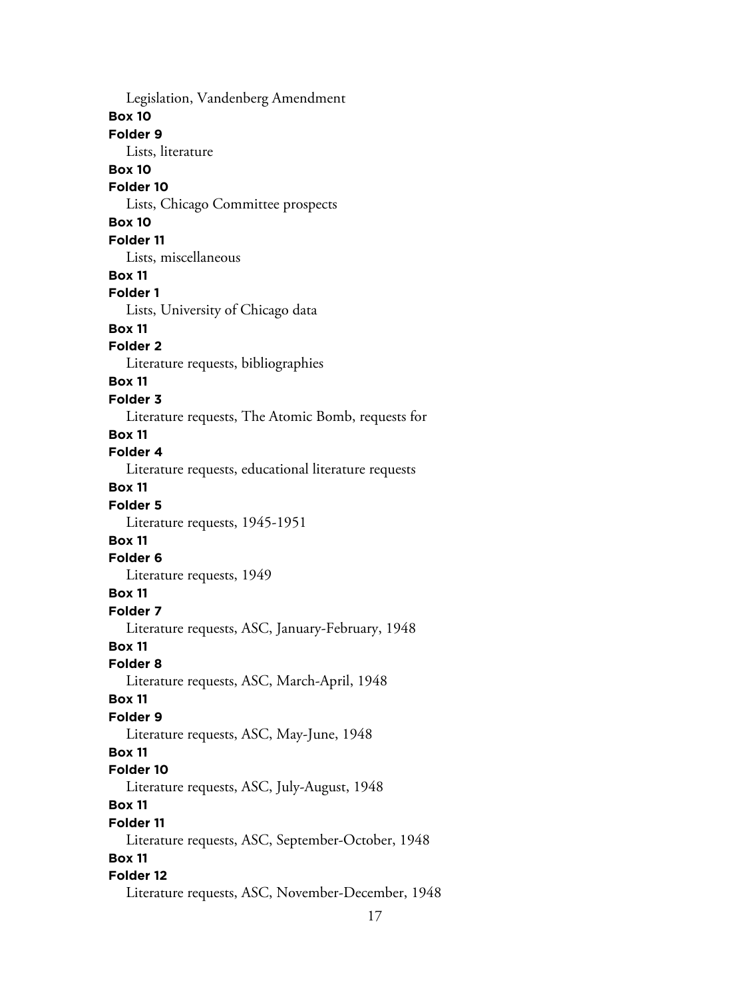Legislation, Vandenberg Amendment **Box 10 Folder 9** Lists, literature **Box 10 Folder 10** Lists, Chicago Committee prospects **Box 10 Folder 11** Lists, miscellaneous **Box 11 Folder 1** Lists, University of Chicago data **Box 11 Folder 2** Literature requests, bibliographies **Box 11 Folder 3** Literature requests, The Atomic Bomb, requests for **Box 11 Folder 4** Literature requests, educational literature requests **Box 11 Folder 5** Literature requests, 1945-1951 **Box 11 Folder 6** Literature requests, 1949 **Box 11 Folder 7** Literature requests, ASC, January-February, 1948 **Box 11 Folder 8** Literature requests, ASC, March-April, 1948 **Box 11 Folder 9** Literature requests, ASC, May-June, 1948 **Box 11 Folder 10** Literature requests, ASC, July-August, 1948 **Box 11 Folder 11** Literature requests, ASC, September-October, 1948 **Box 11 Folder 12** Literature requests, ASC, November-December, 1948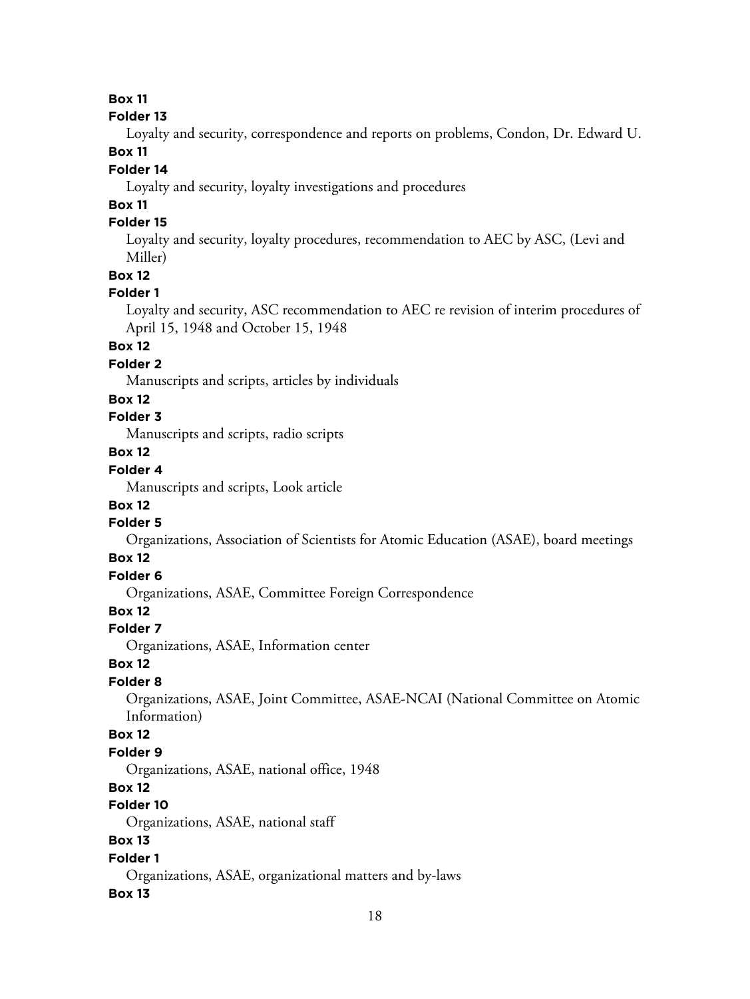#### **Folder 13**

Loyalty and security, correspondence and reports on problems, Condon, Dr. Edward U.

# **Box 11**

# **Folder 14**

Loyalty and security, loyalty investigations and procedures

# **Box 11**

# **Folder 15**

Loyalty and security, loyalty procedures, recommendation to AEC by ASC, (Levi and Miller)

**Box 12**

### **Folder 1**

Loyalty and security, ASC recommendation to AEC re revision of interim procedures of April 15, 1948 and October 15, 1948

# **Box 12**

### **Folder 2**

Manuscripts and scripts, articles by individuals

### **Box 12**

# **Folder 3**

Manuscripts and scripts, radio scripts

# **Box 12**

# **Folder 4**

Manuscripts and scripts, Look article

# **Box 12**

# **Folder 5**

Organizations, Association of Scientists for Atomic Education (ASAE), board meetings

### **Box 12**

# **Folder 6**

Organizations, ASAE, Committee Foreign Correspondence

# **Box 12**

# **Folder 7**

Organizations, ASAE, Information center

### **Box 12**

# **Folder 8**

Organizations, ASAE, Joint Committee, ASAE-NCAI (National Committee on Atomic Information)

### **Box 12**

### **Folder 9**

Organizations, ASAE, national office, 1948

### **Box 12**

# **Folder 10**

Organizations, ASAE, national staff

# **Box 13**

# **Folder 1**

Organizations, ASAE, organizational matters and by-laws

### **Box 13**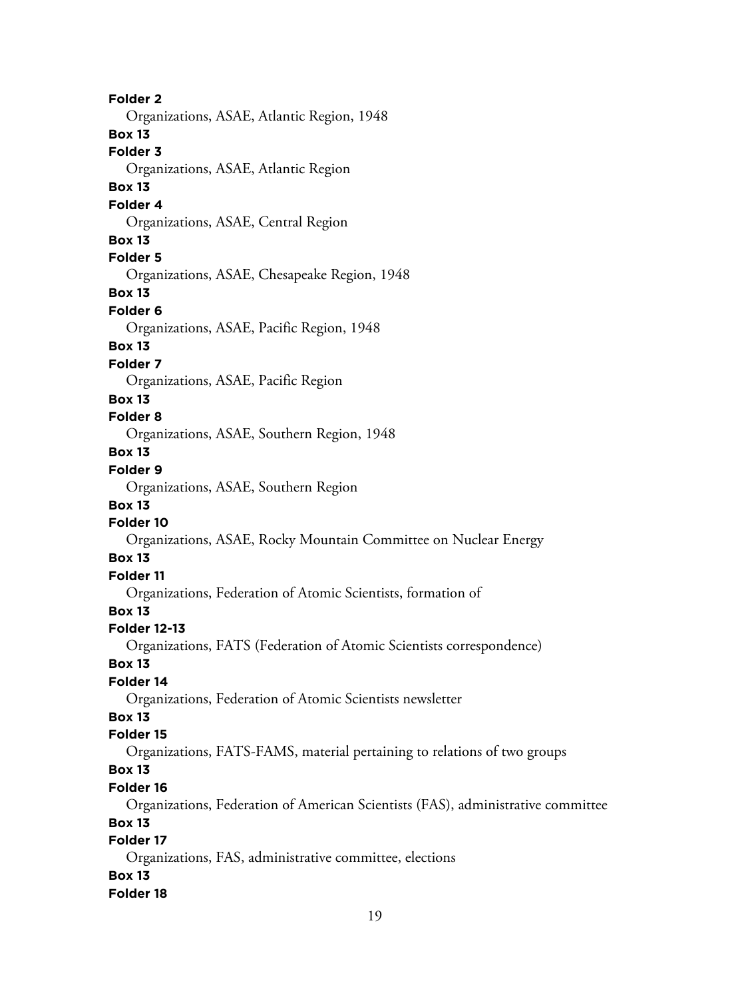**Folder 2** Organizations, ASAE, Atlantic Region, 1948 **Box 13 Folder 3** Organizations, ASAE, Atlantic Region **Box 13 Folder 4** Organizations, ASAE, Central Region **Box 13 Folder 5** Organizations, ASAE, Chesapeake Region, 1948 **Box 13 Folder 6** Organizations, ASAE, Pacific Region, 1948 **Box 13 Folder 7** Organizations, ASAE, Pacific Region **Box 13 Folder 8** Organizations, ASAE, Southern Region, 1948 **Box 13 Folder 9** Organizations, ASAE, Southern Region **Box 13 Folder 10** Organizations, ASAE, Rocky Mountain Committee on Nuclear Energy **Box 13 Folder 11** Organizations, Federation of Atomic Scientists, formation of **Box 13 Folder 12-13** Organizations, FATS (Federation of Atomic Scientists correspondence) **Box 13 Folder 14** Organizations, Federation of Atomic Scientists newsletter **Box 13 Folder 15** Organizations, FATS-FAMS, material pertaining to relations of two groups **Box 13 Folder 16** Organizations, Federation of American Scientists (FAS), administrative committee **Box 13 Folder 17** Organizations, FAS, administrative committee, elections **Box 13 Folder 18**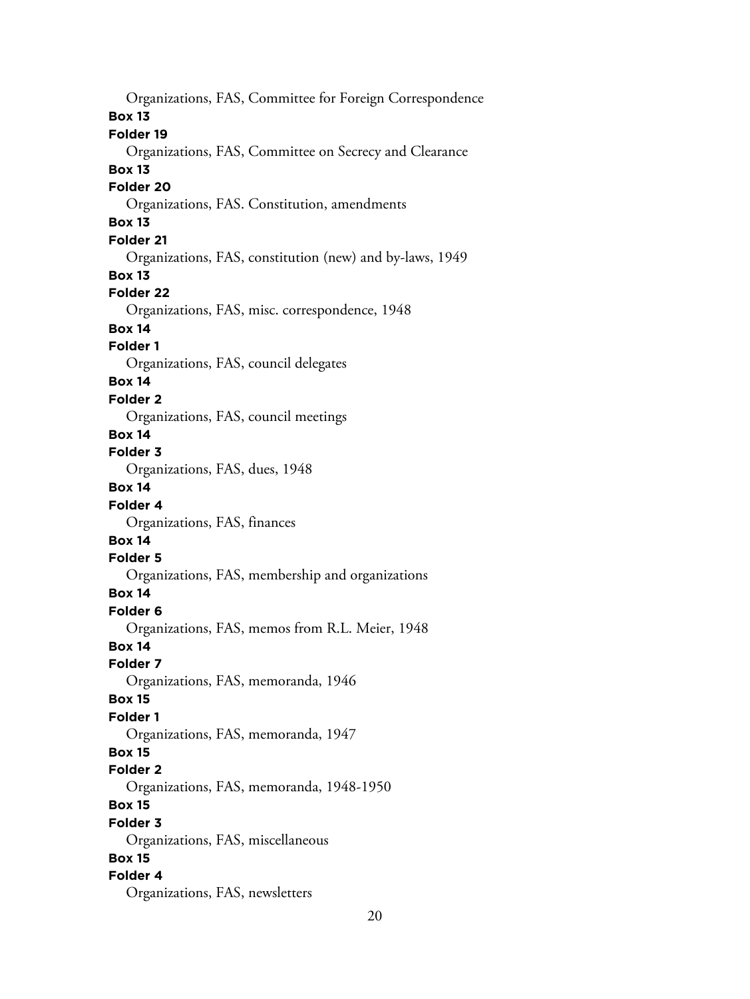Organizations, FAS, Committee for Foreign Correspondence **Box 13 Folder 19** Organizations, FAS, Committee on Secrecy and Clearance **Box 13 Folder 20** Organizations, FAS. Constitution, amendments **Box 13 Folder 21** Organizations, FAS, constitution (new) and by-laws, 1949 **Box 13 Folder 22** Organizations, FAS, misc. correspondence, 1948 **Box 14 Folder 1** Organizations, FAS, council delegates **Box 14 Folder 2** Organizations, FAS, council meetings **Box 14 Folder 3** Organizations, FAS, dues, 1948 **Box 14 Folder 4** Organizations, FAS, finances **Box 14 Folder 5** Organizations, FAS, membership and organizations **Box 14 Folder 6** Organizations, FAS, memos from R.L. Meier, 1948 **Box 14 Folder 7** Organizations, FAS, memoranda, 1946 **Box 15 Folder 1** Organizations, FAS, memoranda, 1947 **Box 15 Folder 2** Organizations, FAS, memoranda, 1948-1950 **Box 15 Folder 3** Organizations, FAS, miscellaneous **Box 15 Folder 4** Organizations, FAS, newsletters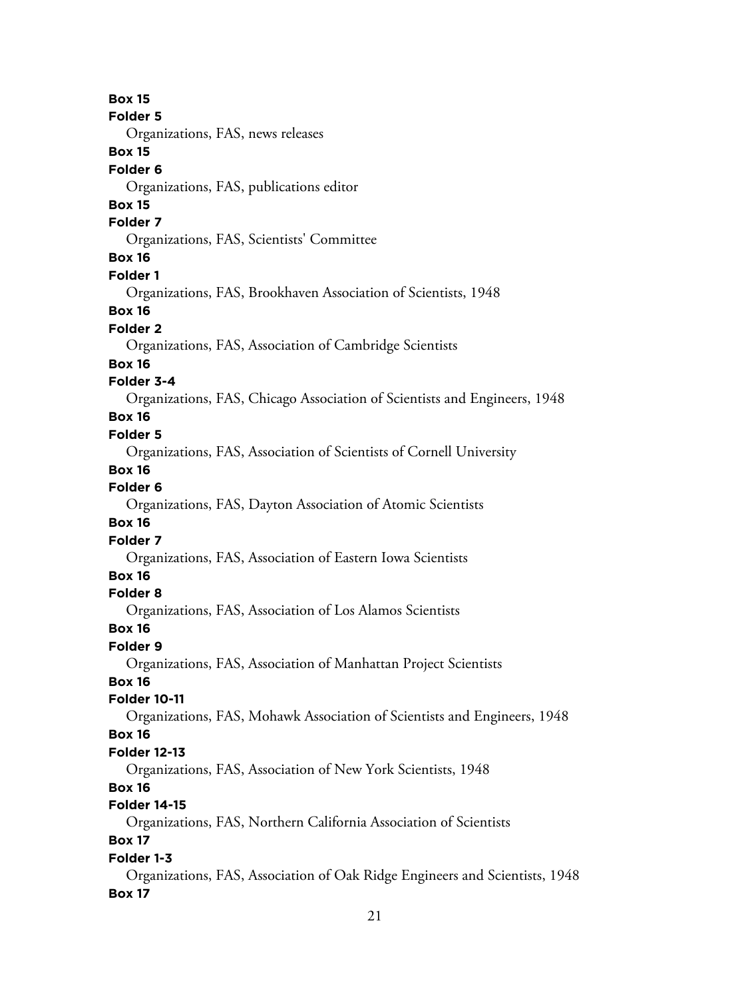**Box 15 Folder 5** Organizations, FAS, news releases **Box 15 Folder 6** Organizations, FAS, publications editor **Box 15 Folder 7** Organizations, FAS, Scientists' Committee **Box 16 Folder 1** Organizations, FAS, Brookhaven Association of Scientists, 1948 **Box 16 Folder 2** Organizations, FAS, Association of Cambridge Scientists **Box 16 Folder 3-4** Organizations, FAS, Chicago Association of Scientists and Engineers, 1948 **Box 16 Folder 5** Organizations, FAS, Association of Scientists of Cornell University **Box 16 Folder 6** Organizations, FAS, Dayton Association of Atomic Scientists **Box 16 Folder 7** Organizations, FAS, Association of Eastern Iowa Scientists **Box 16 Folder 8** Organizations, FAS, Association of Los Alamos Scientists **Box 16 Folder 9** Organizations, FAS, Association of Manhattan Project Scientists **Box 16 Folder 10-11** Organizations, FAS, Mohawk Association of Scientists and Engineers, 1948 **Box 16 Folder 12-13** Organizations, FAS, Association of New York Scientists, 1948 **Box 16 Folder 14-15** Organizations, FAS, Northern California Association of Scientists **Box 17 Folder 1-3** Organizations, FAS, Association of Oak Ridge Engineers and Scientists, 1948 **Box 17**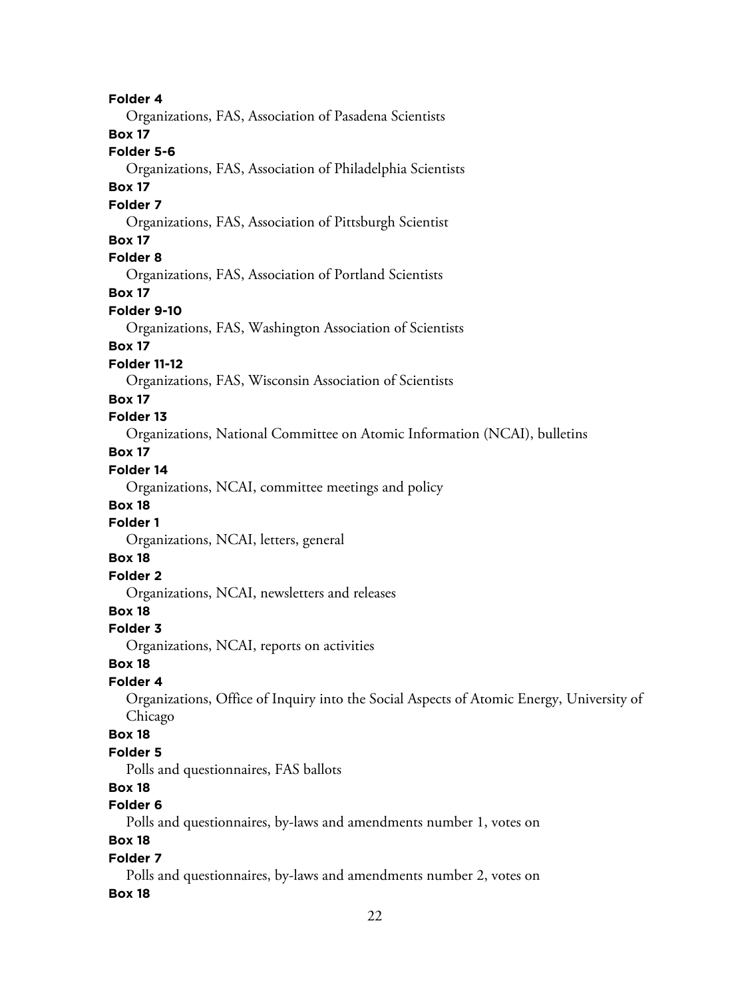**Folder 4** Organizations, FAS, Association of Pasadena Scientists **Box 17 Folder 5-6** Organizations, FAS, Association of Philadelphia Scientists **Box 17 Folder 7** Organizations, FAS, Association of Pittsburgh Scientist **Box 17 Folder 8** Organizations, FAS, Association of Portland Scientists **Box 17 Folder 9-10** Organizations, FAS, Washington Association of Scientists **Box 17 Folder 11-12** Organizations, FAS, Wisconsin Association of Scientists **Box 17 Folder 13** Organizations, National Committee on Atomic Information (NCAI), bulletins **Box 17 Folder 14** Organizations, NCAI, committee meetings and policy **Box 18 Folder 1** Organizations, NCAI, letters, general **Box 18 Folder 2** Organizations, NCAI, newsletters and releases **Box 18 Folder 3** Organizations, NCAI, reports on activities **Box 18 Folder 4** Organizations, Office of Inquiry into the Social Aspects of Atomic Energy, University of Chicago **Box 18 Folder 5** Polls and questionnaires, FAS ballots **Box 18 Folder 6** Polls and questionnaires, by-laws and amendments number 1, votes on **Box 18 Folder 7** Polls and questionnaires, by-laws and amendments number 2, votes on

#### **Box 18**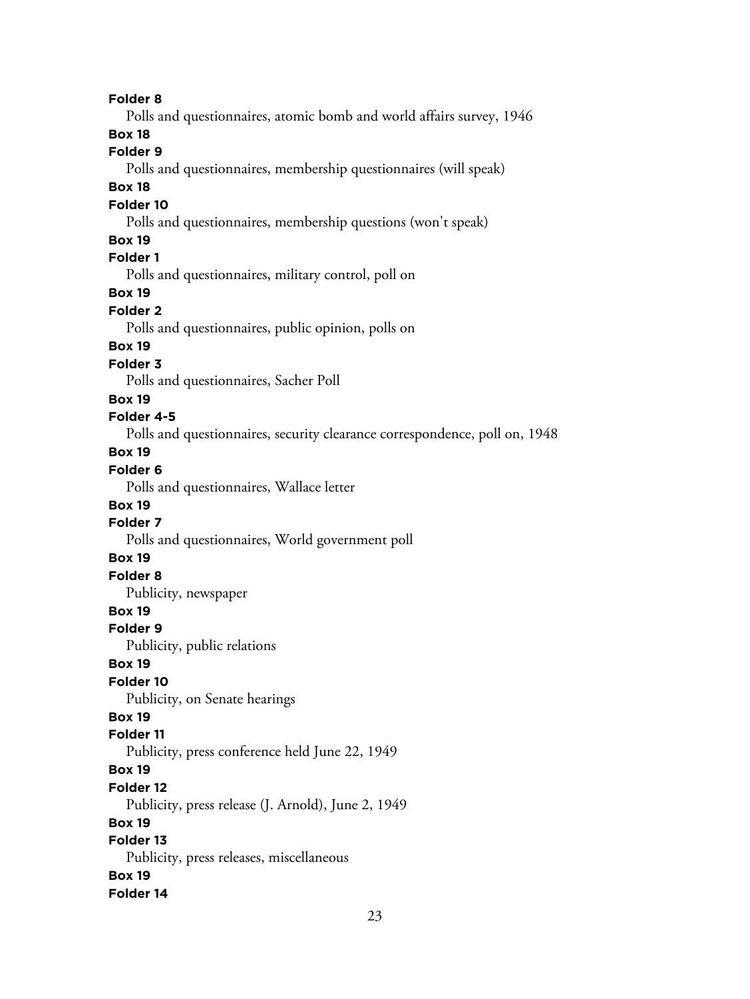**Folder 8** Polls and questionnaires, atomic bomb and world affairs survey, 1946 **Box 18 Folder 9** Polls and questionnaires, membership questionnaires (will speak) **Box 18 Folder 10** Polls and questionnaires, membership questions (won't speak) **Box 19 Folder 1** Polls and questionnaires, military control, poll on **Box 19 Folder 2** Polls and questionnaires, public opinion, polls on **Box 19 Folder 3** Polls and questionnaires, Sacher Poll **Box 19 Folder 4-5** Polls and questionnaires, security clearance correspondence, poll on, 1948 **Box 19 Folder 6** Polls and questionnaires, Wallace letter **Box 19 Folder 7** Polls and questionnaires, World government poll **Box 19 Folder 8** Publicity, newspaper **Box 19 Folder 9** Publicity, public relations **Box 19 Folder 10** Publicity, on Senate hearings **Box 19 Folder 11** Publicity, press conference held June 22, 1949 **Box 19 Folder 12** Publicity, press release (J. Arnold), June 2, 1949 **Box 19 Folder 13** Publicity, press releases, miscellaneous **Box 19 Folder 14**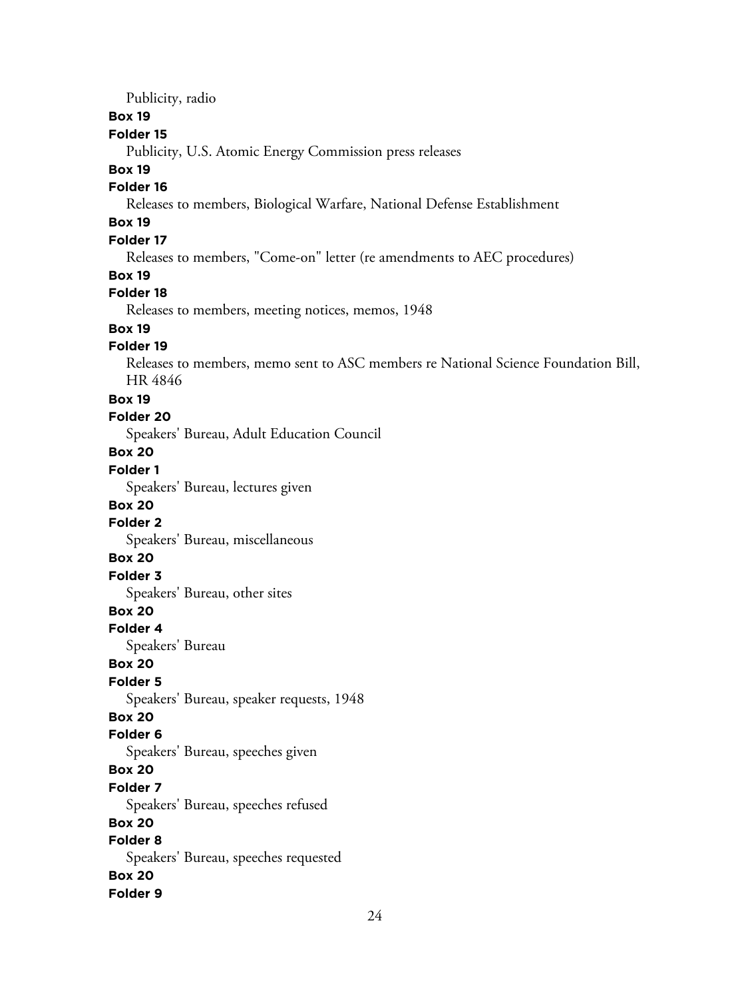Publicity, radio

### **Box 19**

### **Folder 15**

Publicity, U.S. Atomic Energy Commission press releases

#### **Box 19**

# **Folder 16**

Releases to members, Biological Warfare, National Defense Establishment

# **Box 19**

# **Folder 17**

Releases to members, "Come-on" letter (re amendments to AEC procedures)

### **Box 19**

### **Folder 18**

Releases to members, meeting notices, memos, 1948

# **Box 19**

### **Folder 19**

Releases to members, memo sent to ASC members re National Science Foundation Bill, HR 4846

#### **Box 19**

#### **Folder 20**

Speakers' Bureau, Adult Education Council

### **Box 20**

# **Folder 1**

Speakers' Bureau, lectures given

### **Box 20**

### **Folder 2**

Speakers' Bureau, miscellaneous

# **Box 20**

# **Folder 3**

Speakers' Bureau, other sites

### **Box 20**

**Folder 4**

Speakers' Bureau

### **Box 20**

# **Folder 5**

Speakers' Bureau, speaker requests, 1948

# **Box 20**

### **Folder 6**

Speakers' Bureau, speeches given

### **Box 20**

### **Folder 7**

Speakers' Bureau, speeches refused

# **Box 20**

# **Folder 8**

Speakers' Bureau, speeches requested

# **Box 20**

#### **Folder 9**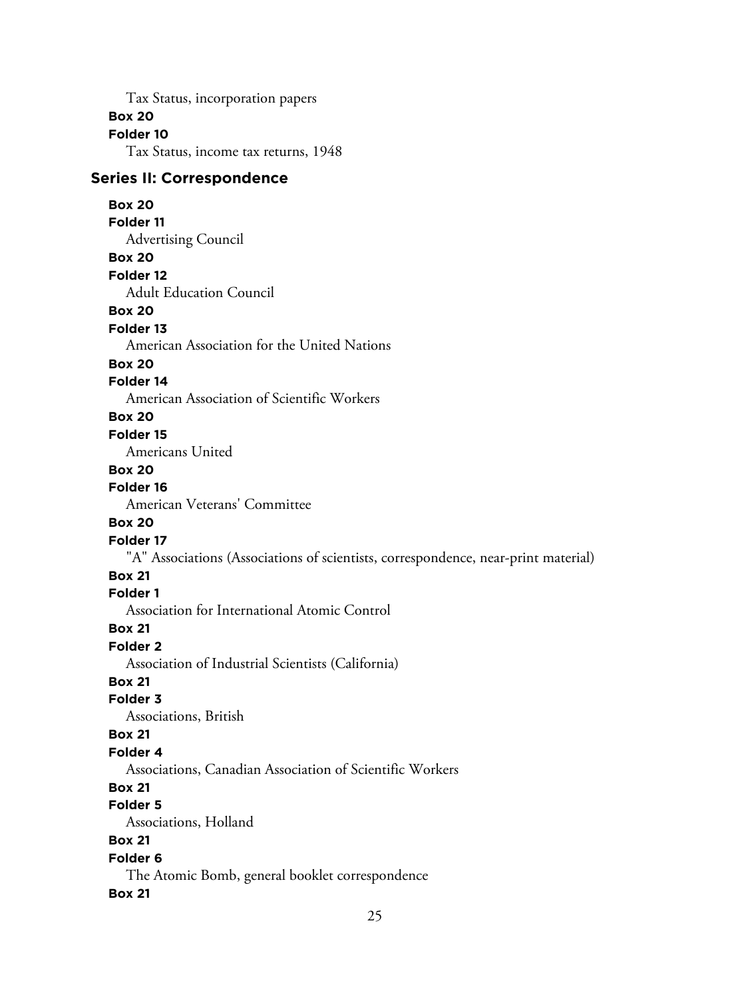Tax Status, incorporation papers

### **Box 20**

# **Folder 10**

Tax Status, income tax returns, 1948

# **Series II: Correspondence**

### **Box 20**

#### **Folder 11**

Advertising Council

# **Box 20**

**Folder 12**

Adult Education Council

### **Box 20**

#### **Folder 13**

American Association for the United Nations

### **Box 20**

### **Folder 14**

American Association of Scientific Workers

# **Box 20**

### **Folder 15**

Americans United

# **Box 20**

#### **Folder 16**

American Veterans' Committee

### **Box 20**

#### **Folder 17**

"A" Associations (Associations of scientists, correspondence, near-print material)

# **Box 21**

### **Folder 1**

Association for International Atomic Control

### **Box 21**

#### **Folder 2**

Association of Industrial Scientists (California)

# **Box 21**

# **Folder 3**

Associations, British

# **Box 21**

# **Folder 4**

Associations, Canadian Association of Scientific Workers

# **Box 21**

# **Folder 5**

Associations, Holland

# **Box 21**

# **Folder 6**

The Atomic Bomb, general booklet correspondence

# **Box 21**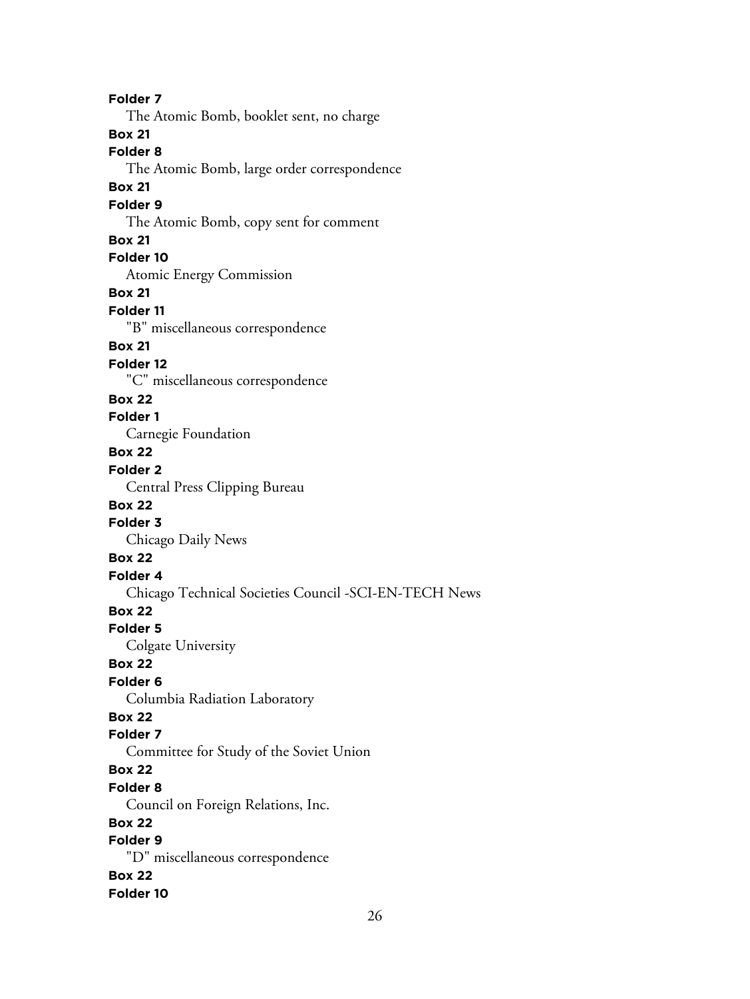**Folder 7** The Atomic Bomb, booklet sent, no charge **Box 21 Folder 8** The Atomic Bomb, large order correspondence **Box 21 Folder 9** The Atomic Bomb, copy sent for comment **Box 21 Folder 10** Atomic Energy Commission **Box 21 Folder 11** "B" miscellaneous correspondence **Box 21 Folder 12** "C" miscellaneous correspondence **Box 22 Folder 1** Carnegie Foundation **Box 22 Folder 2** Central Press Clipping Bureau **Box 22 Folder 3** Chicago Daily News **Box 22 Folder 4** Chicago Technical Societies Council -SCI-EN-TECH News **Box 22 Folder 5** Colgate University **Box 22 Folder 6** Columbia Radiation Laboratory **Box 22 Folder 7** Committee for Study of the Soviet Union **Box 22 Folder 8** Council on Foreign Relations, Inc. **Box 22 Folder 9** "D" miscellaneous correspondence **Box 22 Folder 10**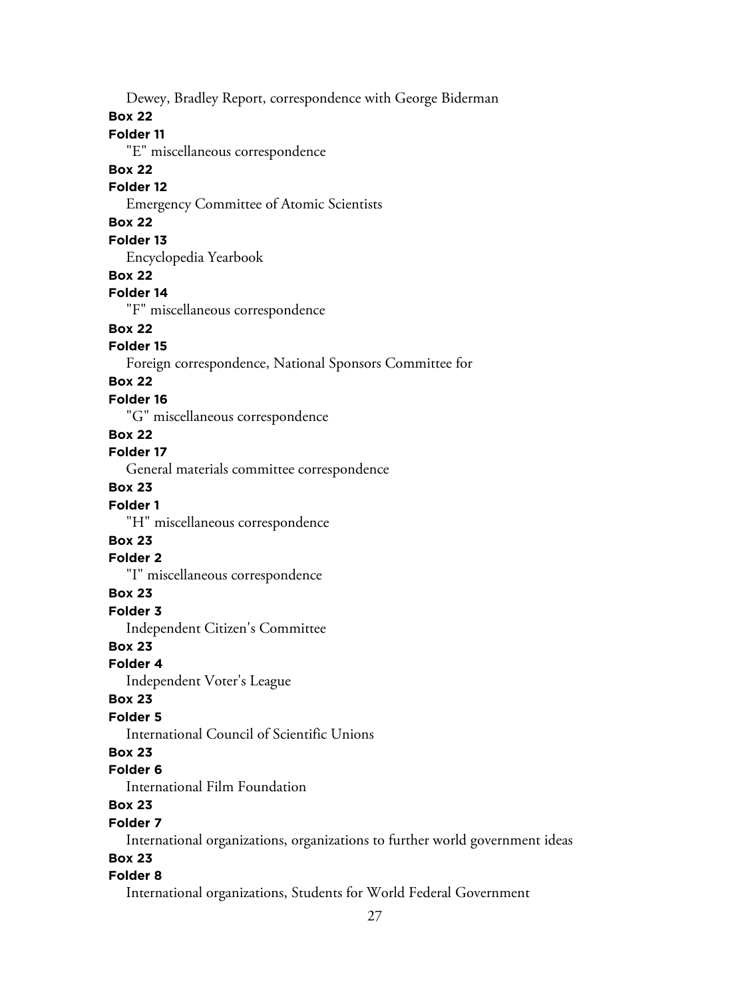Dewey, Bradley Report, correspondence with George Biderman

#### **Box 22**

### **Folder 11**

"E" miscellaneous correspondence

#### **Box 22**

# **Folder 12**

Emergency Committee of Atomic Scientists

# **Box 22**

### **Folder 13**

Encyclopedia Yearbook

### **Box 22**

# **Folder 14**

"F" miscellaneous correspondence

# **Box 22**

# **Folder 15**

Foreign correspondence, National Sponsors Committee for

#### **Box 22**

#### **Folder 16**

"G" miscellaneous correspondence

# **Box 22**

# **Folder 17**

General materials committee correspondence

# **Box 23**

# **Folder 1**

"H" miscellaneous correspondence

# **Box 23**

# **Folder 2**

"I" miscellaneous correspondence

# **Box 23**

#### **Folder 3**

Independent Citizen's Committee

### **Box 23**

#### **Folder 4**

Independent Voter's League

#### **Box 23**

#### **Folder 5**

International Council of Scientific Unions

# **Box 23**

### **Folder 6**

International Film Foundation

# **Box 23**

#### **Folder 7**

International organizations, organizations to further world government ideas

# **Box 23**

### **Folder 8**

International organizations, Students for World Federal Government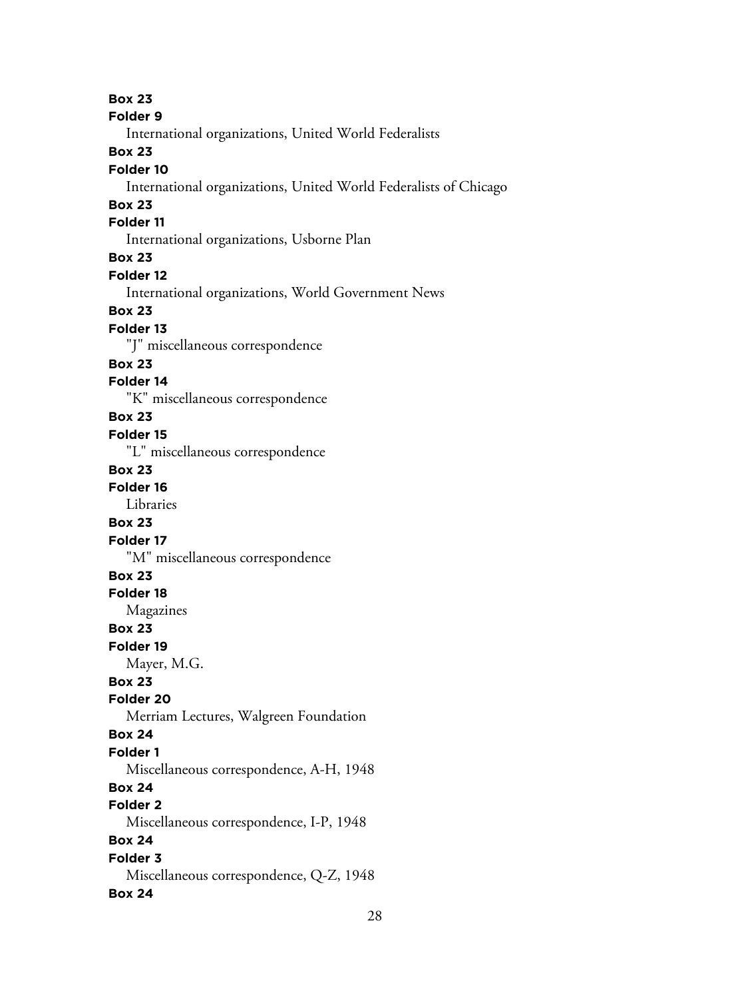**Box 23 Folder 9** International organizations, United World Federalists **Box 23 Folder 10** International organizations, United World Federalists of Chicago **Box 23 Folder 11** International organizations, Usborne Plan **Box 23 Folder 12** International organizations, World Government News **Box 23 Folder 13** "J" miscellaneous correspondence **Box 23 Folder 14** "K" miscellaneous correspondence **Box 23 Folder 15** "L" miscellaneous correspondence **Box 23 Folder 16** Libraries **Box 23 Folder 17** "M" miscellaneous correspondence **Box 23 Folder 18** Magazines **Box 23 Folder 19** Mayer, M.G. **Box 23 Folder 20** Merriam Lectures, Walgreen Foundation **Box 24 Folder 1** Miscellaneous correspondence, A-H, 1948 **Box 24 Folder 2** Miscellaneous correspondence, I-P, 1948 **Box 24 Folder 3** Miscellaneous correspondence, Q-Z, 1948 **Box 24**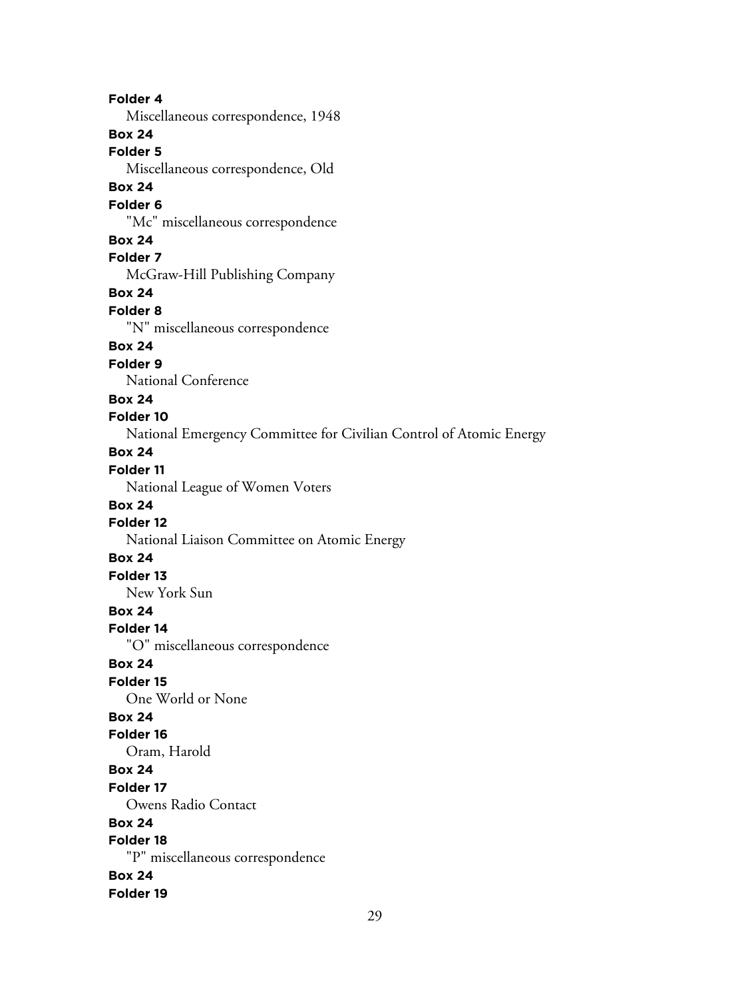**Folder 4** Miscellaneous correspondence, 1948 **Box 24 Folder 5** Miscellaneous correspondence, Old **Box 24 Folder 6** "Mc" miscellaneous correspondence **Box 24 Folder 7** McGraw-Hill Publishing Company **Box 24 Folder 8** "N" miscellaneous correspondence **Box 24 Folder 9** National Conference **Box 24 Folder 10** National Emergency Committee for Civilian Control of Atomic Energy **Box 24 Folder 11** National League of Women Voters **Box 24 Folder 12** National Liaison Committee on Atomic Energy **Box 24 Folder 13** New York Sun **Box 24 Folder 14** "O" miscellaneous correspondence **Box 24 Folder 15** One World or None **Box 24 Folder 16** Oram, Harold **Box 24 Folder 17** Owens Radio Contact **Box 24 Folder 18** "P" miscellaneous correspondence **Box 24 Folder 19**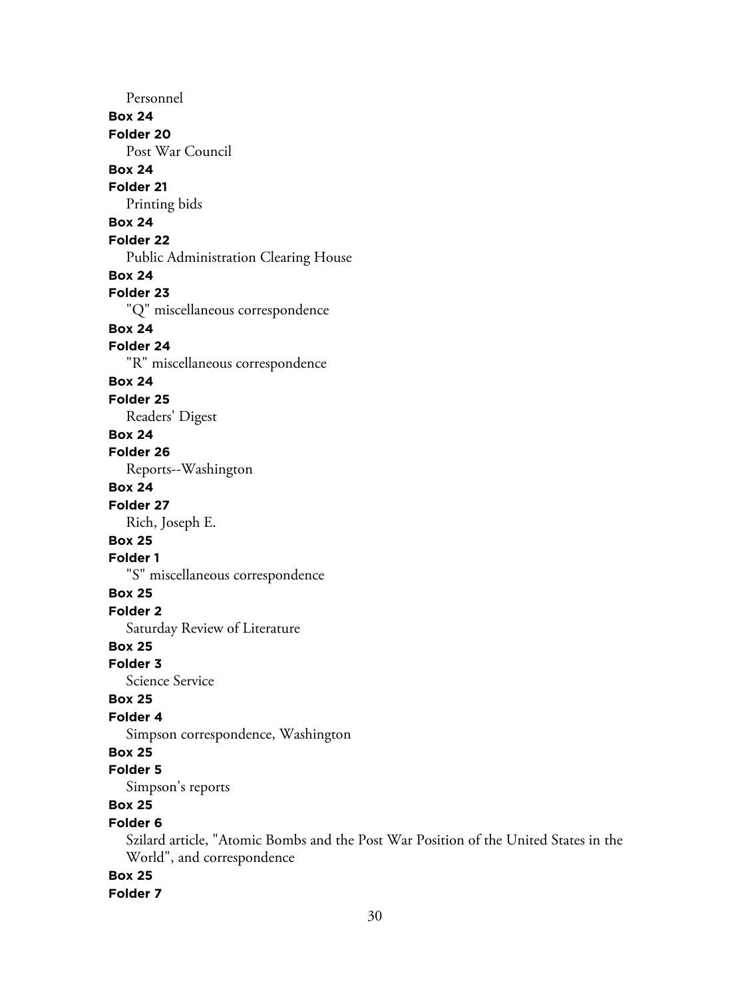Personnel **Box 24 Folder 20** Post War Council **Box 24 Folder 21** Printing bids **Box 24 Folder 22** Public Administration Clearing House **Box 24 Folder 23** "Q" miscellaneous correspondence **Box 24 Folder 24** "R" miscellaneous correspondence **Box 24 Folder 25** Readers' Digest **Box 24 Folder 26** Reports--Washington **Box 24 Folder 27** Rich, Joseph E. **Box 25 Folder 1** "S" miscellaneous correspondence **Box 25 Folder 2** Saturday Review of Literature **Box 25 Folder 3** Science Service **Box 25 Folder 4** Simpson correspondence, Washington **Box 25 Folder 5** Simpson's reports **Box 25 Folder 6** Szilard article, "Atomic Bombs and the Post War Position of the United States in the World", and correspondence **Box 25 Folder 7**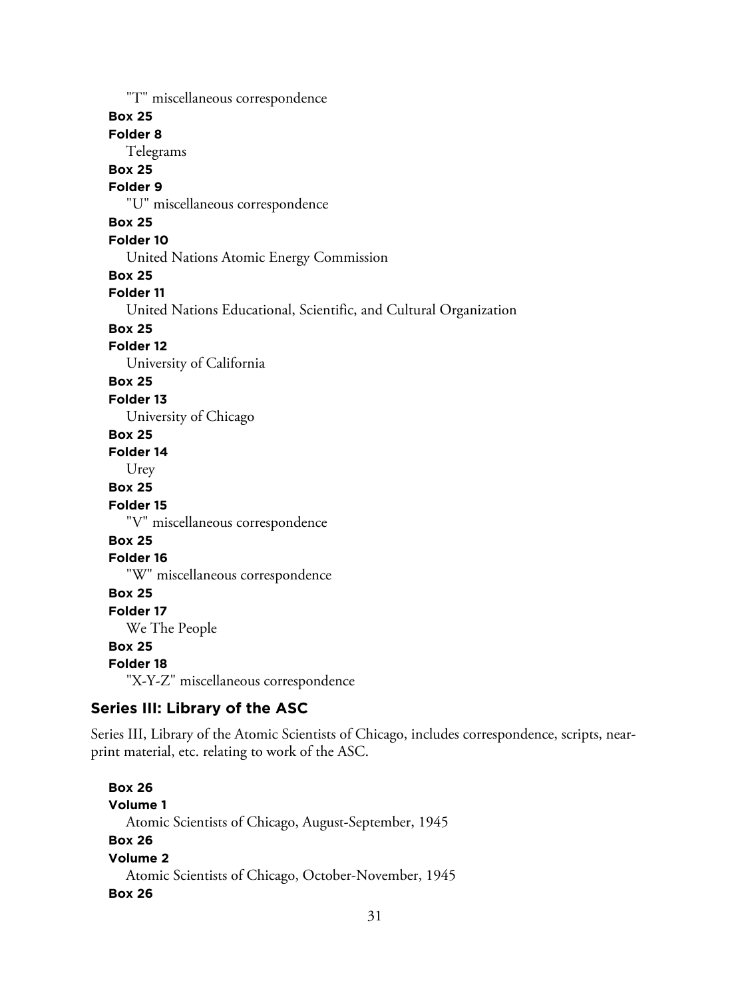"T" miscellaneous correspondence

### **Box 25**

**Folder 8**

Telegrams

# **Box 25**

# **Folder 9**

"U" miscellaneous correspondence

# **Box 25**

### **Folder 10**

United Nations Atomic Energy Commission

#### **Box 25**

#### **Folder 11**

United Nations Educational, Scientific, and Cultural Organization

# **Box 25**

### **Folder 12**

University of California

### **Box 25**

#### **Folder 13**

University of Chicago

#### **Box 25**

#### **Folder 14**

Urey

### **Box 25**

#### **Folder 15**

"V" miscellaneous correspondence

# **Box 25**

#### **Folder 16**

"W" miscellaneous correspondence

#### **Box 25**

#### **Folder 17**

We The People

### **Box 25**

#### **Folder 18**

"X-Y-Z" miscellaneous correspondence

# **Series III: Library of the ASC**

Series III, Library of the Atomic Scientists of Chicago, includes correspondence, scripts, nearprint material, etc. relating to work of the ASC.

**Box 26 Volume 1** Atomic Scientists of Chicago, August-September, 1945 **Box 26 Volume 2** Atomic Scientists of Chicago, October-November, 1945 **Box 26**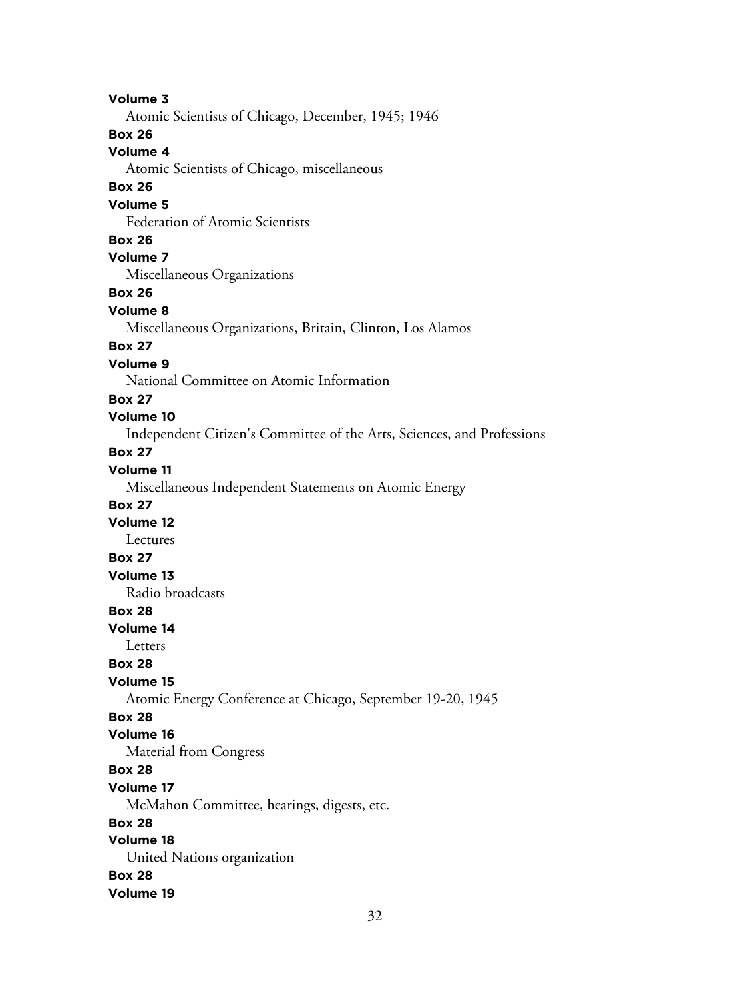**Volume 3** Atomic Scientists of Chicago, December, 1945; 1946 **Box 26 Volume 4** Atomic Scientists of Chicago, miscellaneous **Box 26 Volume 5** Federation of Atomic Scientists **Box 26 Volume 7** Miscellaneous Organizations **Box 26 Volume 8** Miscellaneous Organizations, Britain, Clinton, Los Alamos **Box 27 Volume 9** National Committee on Atomic Information **Box 27 Volume 10** Independent Citizen's Committee of the Arts, Sciences, and Professions **Box 27 Volume 11** Miscellaneous Independent Statements on Atomic Energy **Box 27 Volume 12** Lectures **Box 27 Volume 13** Radio broadcasts **Box 28 Volume 14** Letters **Box 28 Volume 15** Atomic Energy Conference at Chicago, September 19-20, 1945 **Box 28 Volume 16** Material from Congress **Box 28 Volume 17** McMahon Committee, hearings, digests, etc. **Box 28 Volume 18** United Nations organization **Box 28 Volume 19**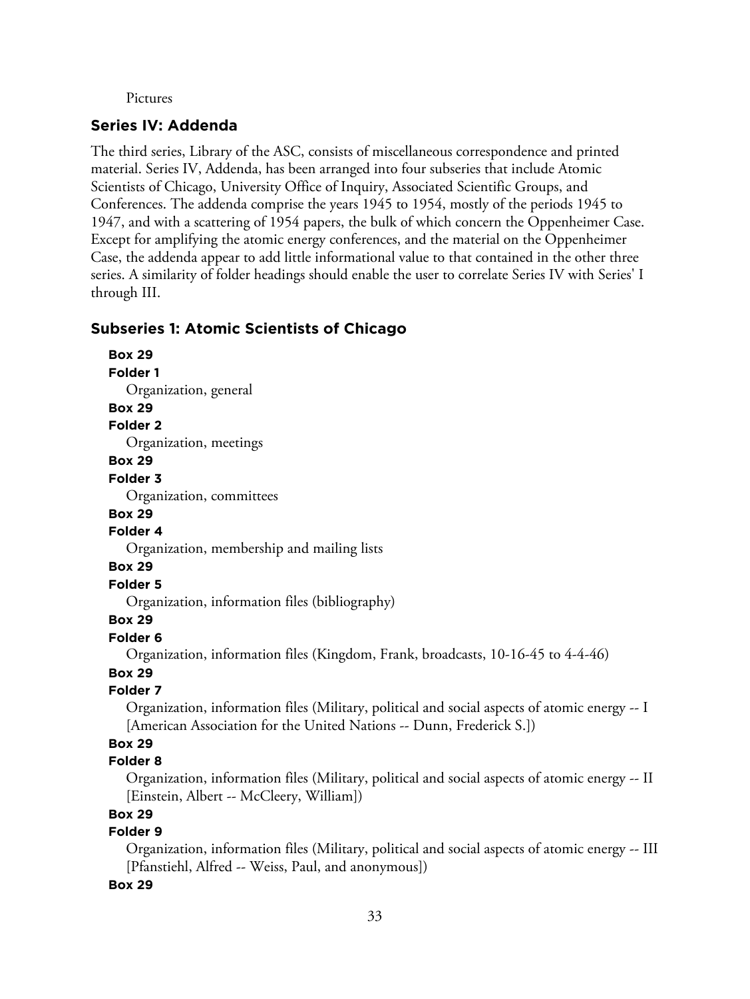#### Pictures

### **Series IV: Addenda**

The third series, Library of the ASC, consists of miscellaneous correspondence and printed material. Series IV, Addenda, has been arranged into four subseries that include Atomic Scientists of Chicago, University Office of Inquiry, Associated Scientific Groups, and Conferences. The addenda comprise the years 1945 to 1954, mostly of the periods 1945 to 1947, and with a scattering of 1954 papers, the bulk of which concern the Oppenheimer Case. Except for amplifying the atomic energy conferences, and the material on the Oppenheimer Case, the addenda appear to add little informational value to that contained in the other three series. A similarity of folder headings should enable the user to correlate Series IV with Series' I through III.

# **Subseries 1: Atomic Scientists of Chicago**

**Folder 1** Organization, general

**Box 29**

# **Folder 2**

**Box 29**

Organization, meetings

#### **Box 29**

#### **Folder 3**

Organization, committees

#### **Box 29**

#### **Folder 4**

Organization, membership and mailing lists

#### **Box 29**

#### **Folder 5**

Organization, information files (bibliography)

# **Box 29**

# **Folder 6**

Organization, information files (Kingdom, Frank, broadcasts, 10-16-45 to 4-4-46)

# **Box 29**

# **Folder 7**

Organization, information files (Military, political and social aspects of atomic energy -- I [American Association for the United Nations -- Dunn, Frederick S.])

# **Box 29**

### **Folder 8**

Organization, information files (Military, political and social aspects of atomic energy -- II [Einstein, Albert -- McCleery, William])

### **Box 29**

### **Folder 9**

Organization, information files (Military, political and social aspects of atomic energy -- III [Pfanstiehl, Alfred -- Weiss, Paul, and anonymous])

#### **Box 29**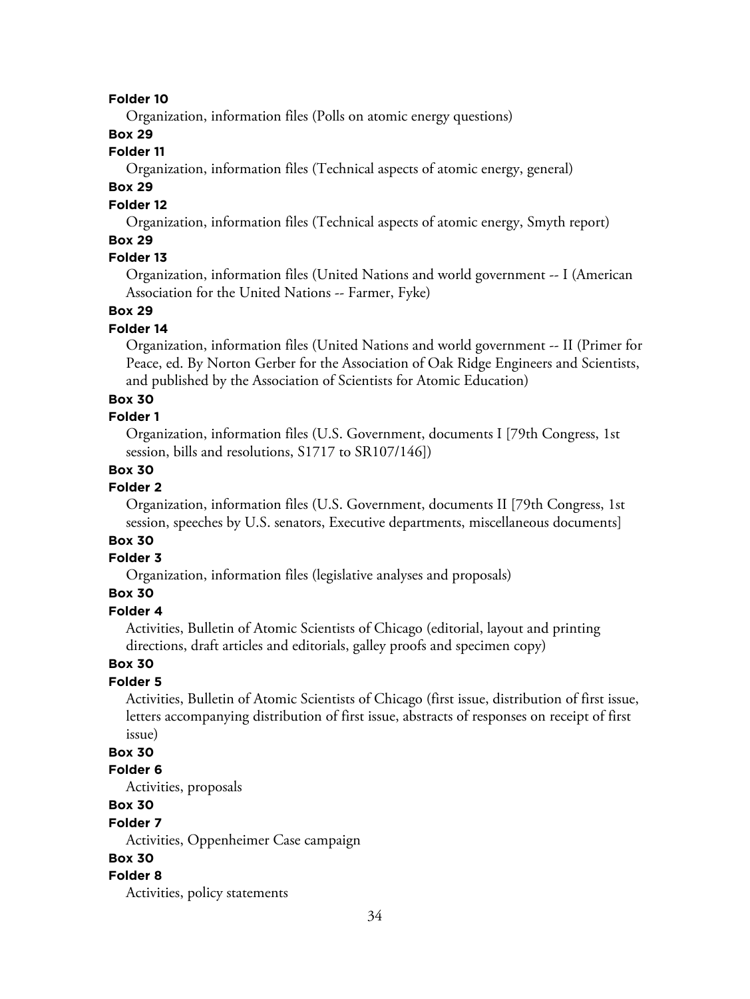#### **Folder 10**

Organization, information files (Polls on atomic energy questions)

# **Box 29**

# **Folder 11**

Organization, information files (Technical aspects of atomic energy, general)

# **Box 29**

### **Folder 12**

Organization, information files (Technical aspects of atomic energy, Smyth report)

### **Box 29**

# **Folder 13**

Organization, information files (United Nations and world government -- I (American Association for the United Nations -- Farmer, Fyke)

### **Box 29**

#### **Folder 14**

Organization, information files (United Nations and world government -- II (Primer for Peace, ed. By Norton Gerber for the Association of Oak Ridge Engineers and Scientists, and published by the Association of Scientists for Atomic Education)

#### **Box 30**

#### **Folder 1**

Organization, information files (U.S. Government, documents I [79th Congress, 1st session, bills and resolutions, S1717 to SR107/146])

#### **Box 30**

# **Folder 2**

Organization, information files (U.S. Government, documents II [79th Congress, 1st session, speeches by U.S. senators, Executive departments, miscellaneous documents]

# **Box 30**

# **Folder 3**

Organization, information files (legislative analyses and proposals)

### **Box 30**

#### **Folder 4**

Activities, Bulletin of Atomic Scientists of Chicago (editorial, layout and printing directions, draft articles and editorials, galley proofs and specimen copy)

#### **Box 30**

#### **Folder 5**

Activities, Bulletin of Atomic Scientists of Chicago (first issue, distribution of first issue, letters accompanying distribution of first issue, abstracts of responses on receipt of first issue)

# **Box 30**

#### **Folder 6**

Activities, proposals

# **Box 30**

#### **Folder 7**

Activities, Oppenheimer Case campaign

# **Box 30**

#### **Folder 8**

Activities, policy statements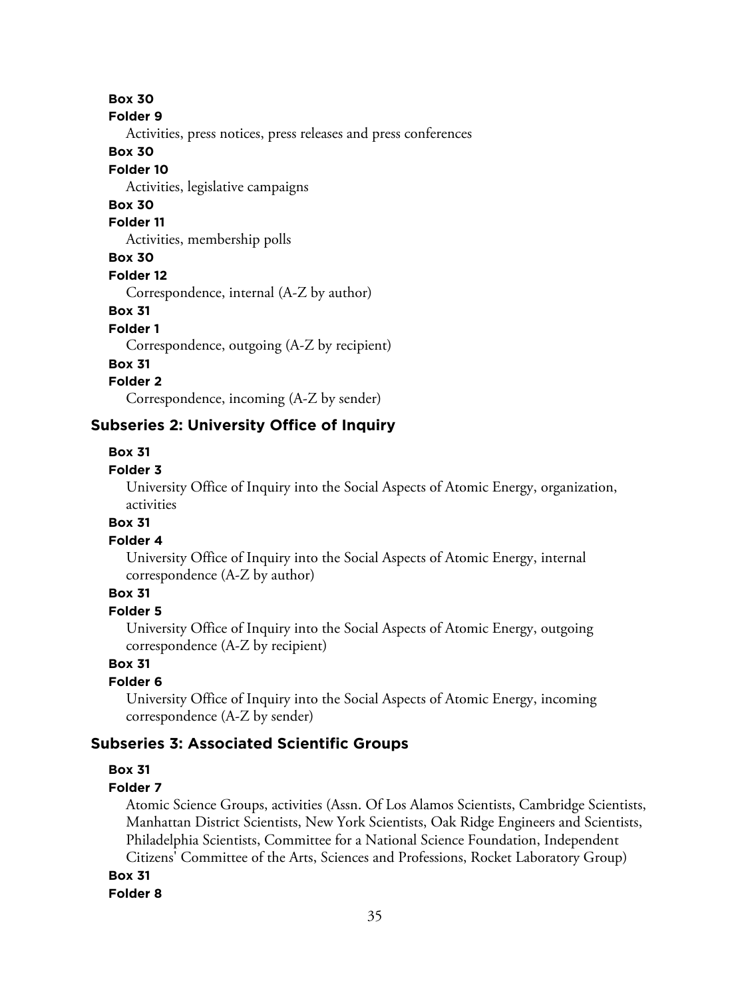**Folder 9**

Activities, press notices, press releases and press conferences

### **Box 30**

### **Folder 10**

Activities, legislative campaigns

# **Box 30**

#### **Folder 11**

Activities, membership polls

# **Box 30**

**Folder 12**

Correspondence, internal (A-Z by author)

#### **Box 31**

#### **Folder 1**

Correspondence, outgoing (A-Z by recipient)

### **Box 31**

### **Folder 2**

Correspondence, incoming (A-Z by sender)

# **Subseries 2: University Office of Inquiry**

### **Box 31**

### **Folder 3**

University Office of Inquiry into the Social Aspects of Atomic Energy, organization, activities

# **Box 31**

### **Folder 4**

University Office of Inquiry into the Social Aspects of Atomic Energy, internal correspondence (A-Z by author)

# **Box 31**

# **Folder 5**

University Office of Inquiry into the Social Aspects of Atomic Energy, outgoing correspondence (A-Z by recipient)

### **Box 31**

# **Folder 6**

University Office of Inquiry into the Social Aspects of Atomic Energy, incoming correspondence (A-Z by sender)

# **Subseries 3: Associated Scientific Groups**

# **Box 31**

### **Folder 7**

Atomic Science Groups, activities (Assn. Of Los Alamos Scientists, Cambridge Scientists, Manhattan District Scientists, New York Scientists, Oak Ridge Engineers and Scientists, Philadelphia Scientists, Committee for a National Science Foundation, Independent Citizens' Committee of the Arts, Sciences and Professions, Rocket Laboratory Group)

**Box 31**

### **Folder 8**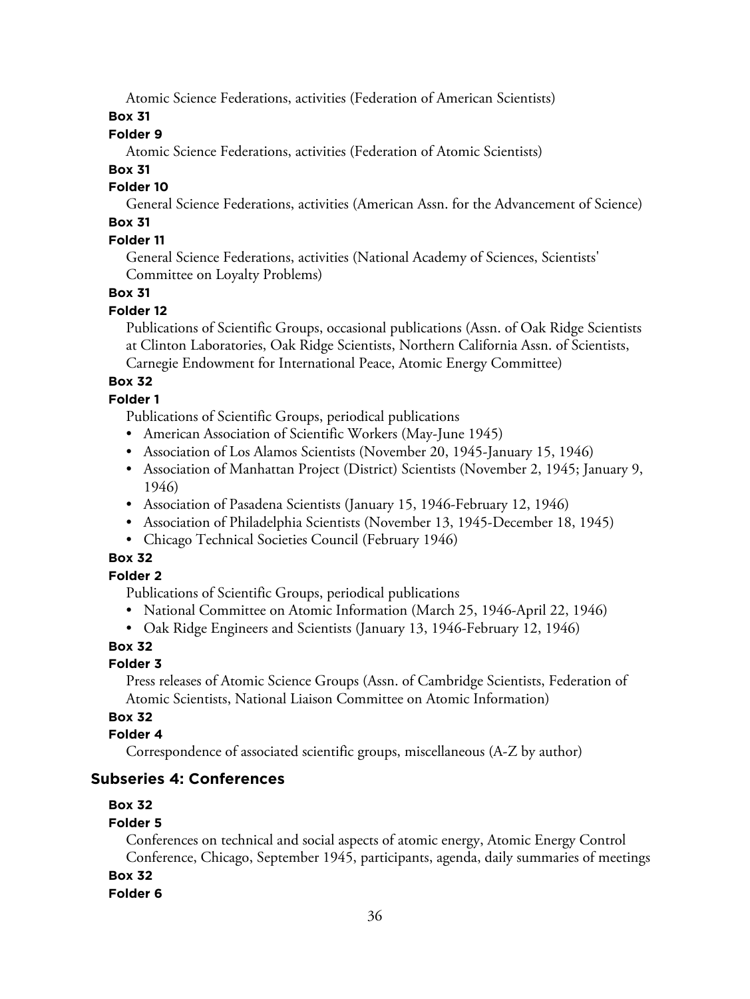Atomic Science Federations, activities (Federation of American Scientists)

# **Box 31**

# **Folder 9**

Atomic Science Federations, activities (Federation of Atomic Scientists)

# **Box 31**

# **Folder 10**

General Science Federations, activities (American Assn. for the Advancement of Science)

# **Box 31**

# **Folder 11**

General Science Federations, activities (National Academy of Sciences, Scientists' Committee on Loyalty Problems)

# **Box 31**

# **Folder 12**

Publications of Scientific Groups, occasional publications (Assn. of Oak Ridge Scientists at Clinton Laboratories, Oak Ridge Scientists, Northern California Assn. of Scientists, Carnegie Endowment for International Peace, Atomic Energy Committee)

# **Box 32**

# **Folder 1**

Publications of Scientific Groups, periodical publications

- American Association of Scientific Workers (May-June 1945)
- Association of Los Alamos Scientists (November 20, 1945-January 15, 1946)
- Association of Manhattan Project (District) Scientists (November 2, 1945; January 9, 1946)
- Association of Pasadena Scientists (January 15, 1946-February 12, 1946)
- Association of Philadelphia Scientists (November 13, 1945-December 18, 1945)
- Chicago Technical Societies Council (February 1946)

# **Box 32**

# **Folder 2**

Publications of Scientific Groups, periodical publications

- National Committee on Atomic Information (March 25, 1946-April 22, 1946)
- Oak Ridge Engineers and Scientists (January 13, 1946-February 12, 1946)

# **Box 32**

# **Folder 3**

Press releases of Atomic Science Groups (Assn. of Cambridge Scientists, Federation of Atomic Scientists, National Liaison Committee on Atomic Information)

# **Box 32**

# **Folder 4**

Correspondence of associated scientific groups, miscellaneous (A-Z by author)

# **Subseries 4: Conferences**

# **Box 32**

# **Folder 5**

Conferences on technical and social aspects of atomic energy, Atomic Energy Control Conference, Chicago, September 1945, participants, agenda, daily summaries of meetings

**Box 32**

# **Folder 6**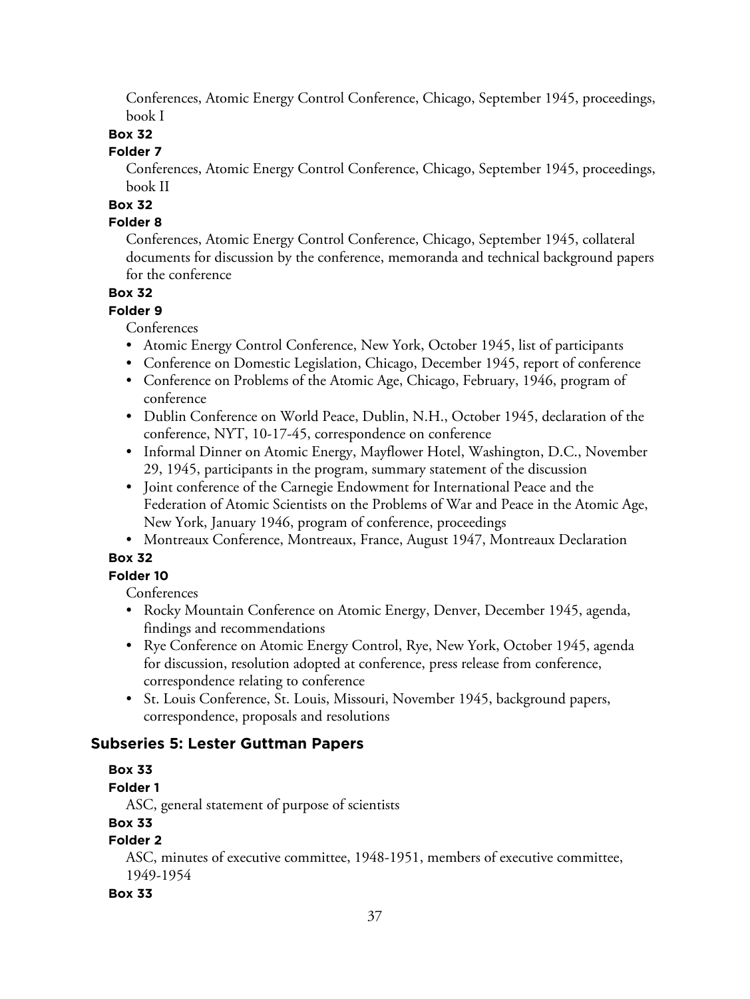Conferences, Atomic Energy Control Conference, Chicago, September 1945, proceedings, book I

# **Box 32**

### **Folder 7**

Conferences, Atomic Energy Control Conference, Chicago, September 1945, proceedings, book II

# **Box 32**

# **Folder 8**

Conferences, Atomic Energy Control Conference, Chicago, September 1945, collateral documents for discussion by the conference, memoranda and technical background papers for the conference

# **Box 32**

**Folder 9**

Conferences

- Atomic Energy Control Conference, New York, October 1945, list of participants
- Conference on Domestic Legislation, Chicago, December 1945, report of conference
- Conference on Problems of the Atomic Age, Chicago, February, 1946, program of conference
- Dublin Conference on World Peace, Dublin, N.H., October 1945, declaration of the conference, NYT, 10-17-45, correspondence on conference
- Informal Dinner on Atomic Energy, Mayflower Hotel, Washington, D.C., November 29, 1945, participants in the program, summary statement of the discussion
- Joint conference of the Carnegie Endowment for International Peace and the Federation of Atomic Scientists on the Problems of War and Peace in the Atomic Age, New York, January 1946, program of conference, proceedings
- Montreaux Conference, Montreaux, France, August 1947, Montreaux Declaration

# **Box 32**

# **Folder 10**

Conferences

- Rocky Mountain Conference on Atomic Energy, Denver, December 1945, agenda, findings and recommendations
- Rye Conference on Atomic Energy Control, Rye, New York, October 1945, agenda for discussion, resolution adopted at conference, press release from conference, correspondence relating to conference
- St. Louis Conference, St. Louis, Missouri, November 1945, background papers, correspondence, proposals and resolutions

# **Subseries 5: Lester Guttman Papers**

# **Box 33**

# **Folder 1**

ASC, general statement of purpose of scientists

# **Box 33**

# **Folder 2**

ASC, minutes of executive committee, 1948-1951, members of executive committee, 1949-1954

# **Box 33**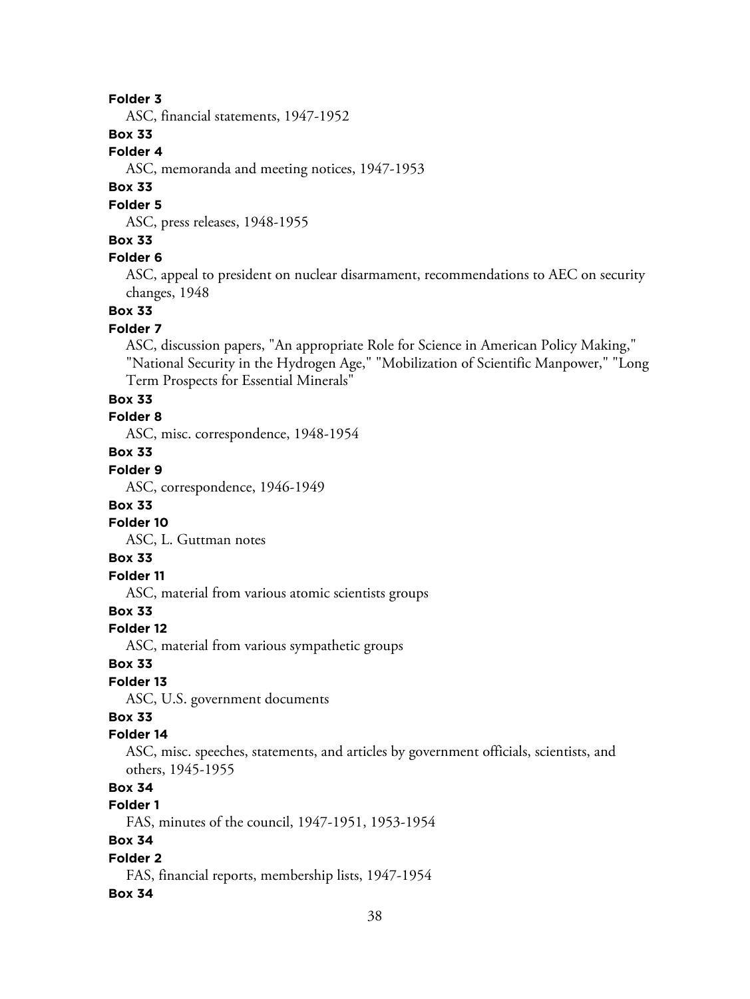### **Folder 3**

ASC, financial statements, 1947-1952

# **Box 33**

### **Folder 4**

ASC, memoranda and meeting notices, 1947-1953

### **Box 33**

#### **Folder 5**

ASC, press releases, 1948-1955

#### **Box 33**

#### **Folder 6**

ASC, appeal to president on nuclear disarmament, recommendations to AEC on security changes, 1948

#### **Box 33**

#### **Folder 7**

ASC, discussion papers, "An appropriate Role for Science in American Policy Making," "National Security in the Hydrogen Age," "Mobilization of Scientific Manpower," "Long Term Prospects for Essential Minerals"

#### **Box 33**

### **Folder 8**

ASC, misc. correspondence, 1948-1954

# **Box 33**

# **Folder 9**

ASC, correspondence, 1946-1949

#### **Box 33**

# **Folder 10**

ASC, L. Guttman notes

# **Box 33**

# **Folder 11**

ASC, material from various atomic scientists groups

# **Box 33**

### **Folder 12**

ASC, material from various sympathetic groups

### **Box 33**

# **Folder 13**

ASC, U.S. government documents

# **Box 33**

### **Folder 14**

ASC, misc. speeches, statements, and articles by government officials, scientists, and others, 1945-1955

# **Box 34**

# **Folder 1**

FAS, minutes of the council, 1947-1951, 1953-1954

# **Box 34**

### **Folder 2**

FAS, financial reports, membership lists, 1947-1954

#### **Box 34**